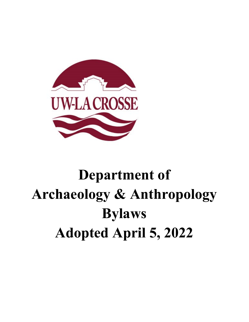

# **Department of Archaeology & Anthropology Bylaws Adopted April 5, 2022**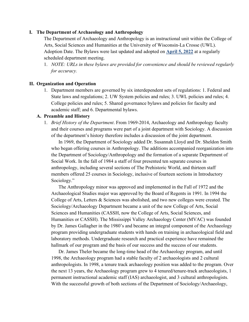#### **I. The Department of Archaeology and Anthropology**

The Department of Archaeology and Anthropology is an instructional unit within the College of Arts, Social Sciences and Humanities at the University of Wisconsin-La Crosse (UWL). Adoption Date. The Bylaws were last updated and adopted on **April 5, 2022** at a regularly scheduled department meeting.

1. *NOTE: URLs in these bylaws are provided for convenience and should be reviewed regularly for accuracy.*

#### **II. Organization and Operation**

1. Department members are governed by six interdependent sets of regulations: 1. Federal and State laws and regulations; 2. UW System policies and rules; 3. UWL policies and rules; 4. College policies and rules; 5. Shared governance bylaws and policies for faculty and academic staff; and 6. Departmental bylaws.

#### **A. Preamble and History**

1. *Brief History of the Department*. From 1969-2014, Archaeology and Anthropology faculty and their courses and programs were part of a joint department with Sociology. A discussion of the department's history therefore includes a discussion of the joint department.

 In 1969, the Department of Sociology added Dr. Susannah Lloyd and Dr. Sheldon Smith who began offering courses in Anthropology. The additions accompanied reorganization into the Department of Sociology/Anthropology and the formation of a separate Department of Social Work. In the fall of 1984 a staff of four presented ten separate courses in anthropology, including several sections of The Prehistoric World, and thirteen staff members offered 25 courses in Sociology, inclusive of fourteen sections in Introductory Sociology."

 The Anthropology minor was approved and implemented in the Fall of 1972 and the Archaeological Studies major was approved by the Board of Regents in 1991. In 1994 the College of Arts, Letters & Sciences was abolished, and two new colleges were created. The Sociology/Archaeology Department became a unit of the new College of Arts, Social Sciences and Humanities (CASSH, now the College of Arts, Social Sciences, and Humanities or CASSH). The Mississippi Valley Archaeology Center (MVAC) was founded by Dr. James Gallagher in the 1980's and became an integral component of the Archaeology program providing undergraduate students with hands on training in archaeological field and laboratory methods. Undergraduate research and practical experience have remained the hallmark of our program and the basis of our success and the success of our students.

Dr. James Theler became the long-time head of the Archaeology program, and until 1998, the Archaeology program had a stable faculty of 2 archaeologists and 2 cultural anthropologists. In 1998, a tenure track archaeology position was added to the program. Over the next 13 years, the Archaeology program grew to 4 tenured/tenure-track archaeologists, 1 permanent instructional academic staff (IAS) archaeologist, and 3 cultural anthropologists. With the successful growth of both sections of the Department of Sociology/Archaeology,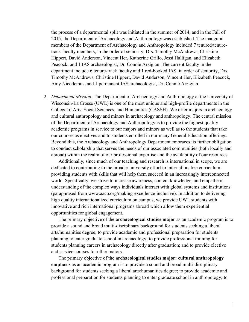the process of a departmental split was initiated in the summer of 2014, and in the Fall of 2015, the Department of Archaeology and Anthropology was established. The inaugural members of the Department of Archaeology and Anthropology included 7 tenured/tenuretrack faculty members, in the order of seniority, Drs. Timothy McAndrews, Christine Hippert, David Anderson, Vincent Her, Katherine Grillo, Jessi Halligan, and Elizabeth Peacock, and 1 IAS archaeologist, Dr. Connie Arzigian. The current faculty in the department include 6 tenure-track faculty and 1 red-booked IAS, in order of seniority, Drs. Timothy McAndrews, Christine Hippert, David Anderson, Vincent Her, Elizabeth Peacock, Amy Nicodemus, and 1 permanent IAS archaeologist, Dr. Connie Arzigian.

2. *Department Mission*. The Department of Archaeology and Anthropology at the University of Wisconsin-La Crosse (UWL) is one of the most unique and high-profile departments in the College of Arts, Social Sciences, and Humanities (CASSH). We offer majors in archaeology and cultural anthropology and minors in archaeology and anthropology. The central mission of the Department of Archaeology and Anthropology is to provide the highest quality academic programs in service to our majors and minors as well as to the students that take our courses as electives and to students enrolled in our many General Education offerings. Beyond this, the Archaeology and Anthropology Department embraces its further obligation to conduct scholarship that serves the needs of our associated communities (both locally and abroad) within the realm of our professional expertise and the availability of our resources.

Additionally, since much of our teaching and research is international in scope, we are dedicated to contributing to the broader university effort to internationalize curriculum, providing students with skills that will help them succeed in an increasingly interconnected world. Specifically, we strive to increase awareness, content knowledge, and empathetic understanding of the complex ways individuals interact with global systems and institutions (paraphrased from www.aacu.org/making-excellence-inclusive). In addition to delivering high quality internationalized curriculum on campus, we provide UWL students with innovative and rich international programs abroad which allow them experiential opportunities for global engagement.

The primary objective of the **archaeological studies major** as an academic program is to provide a sound and broad multi-disciplinary background for students seeking a liberal arts/humanities degree; to provide academic and professional preparation for students planning to enter graduate school in archaeology; to provide professional training for students planning careers in archaeology directly after graduation; and to provide elective and service courses for other majors.

The primary objective of the **archaeological studies major: cultural anthropology emphasis** as an academic program is to provide a sound and broad multi-disciplinary background for students seeking a liberal arts/humanities degree; to provide academic and professional preparation for students planning to enter graduate school in anthropology; to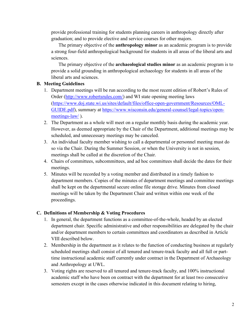provide professional training for students planning careers in anthropology directly after graduation; and to provide elective and service courses for other majors.

The primary objective of the **anthropology minor** as an academic program is to provide a strong four-field anthropological background for students in all areas of the liberal arts and sciences.

The primary objective of the **archaeological studies minor** as an academic program is to provide a solid grounding in anthropological archaeology for students in all areas of the liberal arts and sciences.

## **B. Meeting Guidelines**

- 1. Department meetings will be run according to the most recent edition of Robert's Rules of Order [\(http://www.robertsrules.com/\)](http://www.robertsrules.com/) and WI state opening meeting laws [\(https://www.doj.state.wi.us/sites/default/files/office-open-government/Resources/OML-](https://www.doj.state.wi.us/sites/default/files/office-open-government/Resources/OML-GUIDE.pdf)[GUIDE.pdf\)](https://www.doj.state.wi.us/sites/default/files/office-open-government/Resources/OML-GUIDE.pdf), summary at [https://www.wisconsin.edu/general-counsel/legal-topics/open](https://www.wisconsin.edu/general-counsel/legal-topics/open-meetings-law/)[meetings-law/](https://www.wisconsin.edu/general-counsel/legal-topics/open-meetings-law/)).
- 2. The Department as a whole will meet on a regular monthly basis during the academic year. However, as deemed appropriate by the Chair of the Department, additional meetings may be scheduled, and unnecessary meetings may be canceled.
- 3. An individual faculty member wishing to call a departmental or personnel meeting must do so via the Chair. During the Summer Session, or when the University is not in session, meetings shall be called at the discretion of the Chair.
- 4. Chairs of committees, subcommittees, and ad hoc committees shall decide the dates for their meetings.
- 5. Minutes will be recorded by a voting member and distributed in a timely fashion to department members. Copies of the minutes of department meetings and committee meetings shall be kept on the departmental secure online file storage drive. Minutes from closed meetings will be taken by the Department Chair and written within one week of the proceedings.

#### **C. Definitions of Membership & Voting Procedures**

- 1. In general, the department functions as a committee-of-the-whole, headed by an elected department chair. Specific administrative and other responsibilities are delegated by the chair and/or department members to certain committees and coordinators as described in Article VIII described below.
- 2. Membership in the department as it relates to the function of conducting business at regularly scheduled meetings shall consist of all tenured and tenure-track faculty and all full or parttime instructional academic staff currently under contract in the Department of Archaeology and Anthropology at UWL.
- 3. Voting rights are reserved to all tenured and tenure-track faculty, and 100% instructional academic staff who have been on contract with the department for at least two consecutive semesters except in the cases otherwise indicated in this document relating to hiring,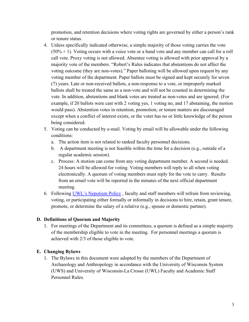promotion, and retention decisions where voting rights are governed by either a person's rank or tenure status.

- 4. Unless specifically indicated otherwise, a simple majority of those voting carries the vote  $(50% + 1)$ . Voting occurs with a voice vote or a hand vote and any member can call for a roll call vote. Proxy voting is not allowed. Absentee voting is allowed with prior approval by a majority vote of the members. "Robert's Rules indicates that abstentions do not affect the voting outcome (they are non-votes)." Paper balloting will be allowed upon request by any voting member of the department. Paper ballots must be signed and kept securely for seven (7) years. Late or non-received ballots, a non-response to a vote, or improperly marked ballots shall be treated the same as a non-vote and will not be counted in determining the vote. In addition, abstentions and blank votes are treated as non-votes and are ignored. (For example, if 20 ballots were cast with 2 voting yes, 1 voting no, and 17 abstaining, the motion would pass). Abstention votes in retention, promotion, or tenure matters are discouraged except when a conflict of interest exists, or the voter has no or little knowledge of the person being considered.
- 5. Voting can be conducted by e-mail. Voting by email will be allowable under the following conditions:
	- a. The action item is not related to ranked faculty personnel decisions.
	- b. A department meeting is not feasible within the time for a decision (e.g., outside of a regular academic session).
	- c. Process: A motion can come from any voting department member. A second is needed. 24 hours will be allowed for voting. Voting members will reply to all when voting electronically. A quorum of voting members must reply for the vote to carry. Results from an email vote will be reported in the minutes of the next official department meeting.
- 6. Following [UWL's Nepotism Policy](https://kb.uwlax.edu/103688) , faculty and staff members will refrain from reviewing, voting, or participating either formally or informally in decisions to hire, retain, grant tenure, promote, or determine the salary of a relative (e.g., spouse or domestic partner).

#### **D. Definitions of Quorum and Majority**

1. For meetings of the Department and its committees, a quorum is defined as a simple majority of the membership eligible to vote in the meeting. For personnel meetings a quorum is achieved with 2/3 of those eligible to vote.

#### **E. Changing Bylaws**

1. The Bylaws in this document were adopted by the members of the Department of Archaeology and Anthropology in accordance with the University of Wisconsin System (UWS) and University of Wisconsin-La Crosse (UWL) Faculty and Academic Staff Personnel Rules.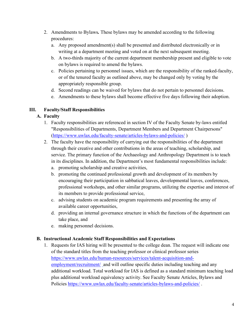- 2. Amendments to Bylaws*.* These bylaws may be amended according to the following procedures:
	- a. Any proposed amendment(s) shall be presented and distributed electronically or in writing at a department meeting and voted on at the next subsequent meeting.
	- b. A two-thirds majority of the current department membership present and eligible to vote on bylaws is required to amend the bylaws.
	- c. Policies pertaining to personnel issues, which are the responsibility of the ranked-faculty, or of the tenured faculty as outlined above, may be changed only by voting by the appropriately responsible group.
	- d. Second readings can be waived for bylaws that do not pertain to personnel decisions.
	- e. Amendments to these bylaws shall become effective five days following their adoption.

# **III. Faculty/Staff Responsibilities**

# **A. Faculty**

- 1. Faculty responsibilities are referenced in section IV of the Faculty Senate by-laws entitled "Responsibilities of Departments, Department Members and Department Chairpersons" [\(https://www.uwlax.edu/faculty-senate/articles-bylaws-and-policies/](https://www.uwlax.edu/faculty-senate/articles-bylaws-and-policies/) )
- 2. The faculty have the responsibility of carrying out the responsibilities of the department through their creative and other contributions in the areas of teaching, scholarship, and service. The primary function of the Archaeology and Anthropology Department is to teach in its disciplines. In addition, the Department's most fundamental responsibilities include:
	- a. promoting scholarship and creative activities,
	- b. promoting the continued professional growth and development of its members by encouraging their participation in sabbatical leaves, developmental leaves, conferences, professional workshops, and other similar programs, utilizing the expertise and interest of its members to provide professional service,
	- c. advising students on academic program requirements and presenting the array of available career opportunities,
	- d. providing an internal governance structure in which the functions of the department can take place, and
	- e. making personnel decisions.

## **B. Instructional Academic Staff Responsibilities and Expectations**

1. Requests for IAS hiring will be presented to the college dean. The request will indicate one of the standard titles from the teaching professor or clinical professor series [https://www.uwlax.edu/human-resources/services/talent-acquisition-and](https://www.uwlax.edu/human-resources/services/talent-acquisition-and-employment/recruitment/)[employment/recruitment/](https://www.uwlax.edu/human-resources/services/talent-acquisition-and-employment/recruitment/) and will outline specific duties including teaching and any additional workload. Total workload for IAS is defined as a standard minimum teaching load plus additional workload equivalency activity. See Faculty Senate Articles, Bylaws and Policies https://www.uwlax.edu/faculty-senate/articles-bylaws-and-policies/.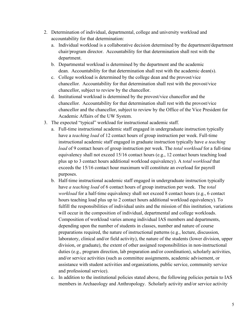- 2. Determination of individual, departmental, college and university workload and accountability for that determination:
	- a. Individual workload is a collaborative decision determined by the department/department chair/program director. Accountability for that determination shall rest with the department.
	- b. Departmental workload is determined by the department and the academic dean. Accountability for that determination shall rest with the academic dean(s).
	- c. College workload is determined by the college dean and the provost/vice chancellor. Accountability for that determination shall rest with the provost/vice chancellor, subject to review by the chancellor.
	- d. Institutional workload is determined by the provost/vice chancellor and the chancellor. Accountability for that determination shall rest with the provost/vice chancellor and the chancellor, subject to review by the Office of the Vice President for Academic Affairs of the UW System.
- 3. The expected "typical" workload for instructional academic staff.
	- a. Full-time instructional academic staff engaged in undergraduate instruction typically have a *teaching load* of 12 contact hours of group instruction per week. Full-time instructional academic staff engaged in graduate instruction typically have *a teaching load* of 9 contact hours of group instruction per week. The *total workload* for a full-time equivalency shall not exceed 15/16 contact hours (e.g., 12 contact hours teaching load plus up to 3 contact hours additional workload equivalency). A *total workload* that exceeds the 15/16 contact hour maximum will constitute an overload for payroll purposes.
	- b. Half-time instructional academic staff engaged in undergraduate instruction typically have *a teaching load* of 6 contact hours of group instruction per week. The *total workload* for a half-time equivalency shall not exceed 8 contact hours (e.g., 6 contact hours teaching load plus up to 2 contact hours additional workload equivalency). To fulfill the responsibilities of individual units and the mission of this institution, variations will occur in the composition of individual, departmental and college workloads. Composition of workload varies among individual IAS members and departments, depending upon the number of students in classes, number and nature of course preparations required, the nature of instructional patterns (e.g., lecture, discussion, laboratory, clinical and/or field activity), the nature of the students (lower division, upper division, or graduate), the extent of other assigned responsibilities in non-instructional duties (e.g., program direction, lab preparation and/or coordination), scholarly activities, and/or service activities (such as committee assignments, academic advisement, or assistance with student activities and organizations, public service, community service and professional service).
	- c. In addition to the institutional policies stated above, the following policies pertain to IAS members in Archaeology and Anthropology. Scholarly activity and/or service activity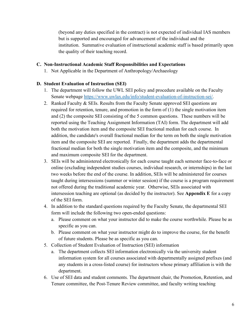(beyond any duties specified in the contract) is not expected of individual IAS members but is supported and encouraged for advancement of the individual and the institution. Summative evaluation of instructional academic staff is based primarily upon the quality of their teaching record.

#### **C. Non-Instructional Academic Staff Responsibilities and Expectations**

1. Not Applicable in the Department of Anthropology/Archaeology

#### **D. Student Evaluation of Instruction (SEI)**

- 1. The department will follow the UWL SEI policy and procedure available on the Faculty Senate webpage [https://www.uwlax.edu/info/student-evaluation-of-instruction-sei/.](https://www.uwlax.edu/info/student-evaluation-of-instruction-sei/)
- 2. Ranked Faculty & SEIs. Results from the Faculty Senate approved SEI questions are required for retention, tenure, and promotion in the form of (1) the single motivation item and (2) the composite SEI consisting of the 5 common questions. These numbers will be reported using the Teaching Assignment Information (TAI) form. The department will add both the motivation item and the composite SEI fractional median for each course. In addition, the candidate's overall fractional median for the term on both the single motivation item and the composite SEI are reported. Finally, the department adds the departmental fractional median for both the single motivation item and the composite, and the minimum and maximum composite SEI for the department.
- 3. SEIs will be administered electronically for each course taught each semester face-to-face or online (excluding independent studies courses, individual research, or internships) in the last two weeks before the end of the course. In addition, SEIs will be administered for courses taught during intersessions (summer or winter session) if the course is a program requirement not offered during the traditional academic year. Otherwise, SEIs associated with intersession teaching are optional (as decided by the instructor). See **Appendix E** for a copy of the SEI form.
- 4. In addition to the standard questions required by the Faculty Senate, the departmental SEI form will include the following two open-ended questions:
	- a. Please comment on what your instructor did to make the course worthwhile. Please be as specific as you can.
	- b. Please comment on what your instructor might do to improve the course, for the benefit of future students. Please be as specific as you can.
- 5. Collection of Student Evaluation of Instruction (SEI) information
	- a. The department collects SEI information electronically via the university student information system for all courses associated with departmentally assigned prefixes (and any students in a cross-listed course) for instructors whose primary affiliation is with the department.
- 6. Use of SEI data and student comments. The department chair, the Promotion, Retention, and Tenure committee, the Post-Tenure Review committee, and faculty writing teaching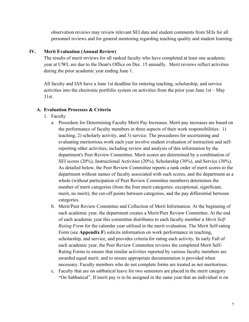observation reviews may review relevant SEI data and student comments from SEIs for all personnel reviews and for general mentoring regarding teaching quality and student learning.

#### **IV. Merit Evaluation (Annual Review)**

The results of merit reviews for all ranked faculty who have completed at least one academic year at UWL are due to the Dean's Office on Dec. 15 annually. Merit reviews reflect activities during the prior academic year ending June 1.

All faculty and IAS have a June 1st deadline for entering teaching, scholarship, and service activities into the electronic portfolio system on activities from the prior year June 1st – May 31st.

#### **A. Evaluation Processes & Criteria**

- 1. Faculty
	- a. Procedure for Determining Faculty Merit Pay Increases. Merit pay increases are based on the performance of faculty members in three aspects of their work responsibilities: 1) teaching, 2) scholarly activity, and 3) service. The procedures for ascertaining and evaluating meritorious work each year involve student evaluation of instruction and selfreporting other activities, including review and analysis of this information by the department's Peer Review Committee. Merit scores are determined by a combination of SEI scores (20%), Instructional Activities (20%), Scholarship (30%), and Service (30%). As detailed below, the Peer Review Committee reports a rank order of merit scores to the department without names of faculty associated with such scores, and the department as a whole (without participation of Peer Review Committee members) determines the number of merit categories (from the four merit categories: exceptional, significant, merit, no merit), the cut-off points between categories, and the pay differential between categories.
	- b. Merit/Peer Review Committee and Collection of Merit Information. At the beginning of each academic year, the department creates a Merit/Peer Review Committee. At the end of each academic year this committee distributes to each faculty member a *Merit Self-Rating Form* for the calendar year utilized in the merit evaluation. The Merit Self-rating Form (see **Appendix F**) solicits information on work performance in teaching, scholarship, and service, and provides criteria for rating each activity. In early Fall of each academic year, the Peer Review Committee reviews the completed Merit Self-Rating Forms to ensure that similar activities reported by various faculty members are awarded equal merit, and to ensure appropriate documentation is provided when necessary. Faculty members who do not complete forms are treated as not meritorious.
	- c. Faculty that are on sabbatical leave for two semesters are placed in the merit category "On Sabbatical". If merit pay is to be assigned in the same year that an individual is on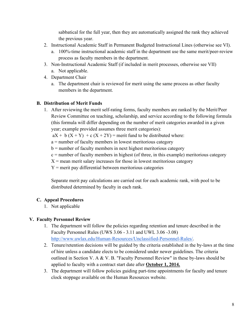sabbatical for the full year, then they are automatically assigned the rank they achieved the previous year.

- 2. Instructional Academic Staff in Permanent Budgeted Instructional Lines (otherwise see VI).
	- a. 100%-time instructional academic staff in the department use the same merit/peer-review process as faculty members in the department.
- 3. Non-Instructional Academic Staff (if included in merit processes, otherwise see VII)
	- a. Not applicable.
- 4. Department Chair
	- a. The department chair is reviewed for merit using the same process as other faculty members in the department.

## **B. Distribution of Merit Funds**

1. After reviewing the merit self-rating forms, faculty members are ranked by the Merit/Peer Review Committee on teaching, scholarship, and service according to the following formula (this formula will differ depending on the number of merit categories awarded in a given year; example provided assumes three merit categories):

 $aX + b(X + Y) + c(X + 2Y)$  = merit fund to be distributed where:

a = number of faculty members in lowest meritorious category

 $b =$  number of faculty members in next highest meritorious category

 $c =$  number of faculty members in highest (of three, in this example) meritorious category

 $X$  = mean merit salary increases for those in lowest meritorious category

 $Y$  = merit pay differential between meritorious categories

Separate merit pay calculations are carried out for each academic rank, with pool to be distributed determined by faculty in each rank.

## **C. Appeal Procedures**

1. Not applicable

# **V. Faculty Personnel Review**

- 1. The department will follow the policies regarding retention and tenure described in the Faculty Personnel Rules (UWS 3.06 - 3.11 and UWL 3.06 -3.08) [http://www.uwlax.edu/Human-Resources/Unclassified-Personnel-Rules/.](http://www.uwlax.edu/Human-Resources/Unclassified-Personnel-Rules/)
- 2. Tenure/retention decisions will be guided by the criteria established in the by-laws at the time of hire unless a candidate elects to be considered under newer guidelines. The criteria outlined in Section V. A & V. B. "Faculty Personnel Review" in these by-laws should be applied to faculty with a contract start date after **October 1, 2014.**
- 3. The department will follow policies guiding part-time appointments for faculty and tenure clock stoppage available on the Human Resources website.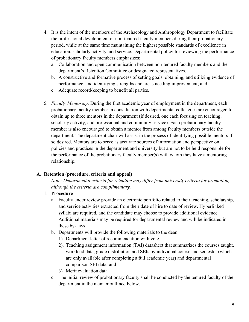- 4. It is the intent of the members of the Archaeology and Anthropology Department to facilitate the professional development of non-tenured faculty members during their probationary period, while at the same time maintaining the highest possible standards of excellence in education, scholarly activity, and service. Departmental policy for reviewing the performance of probationary faculty members emphasizes:
	- a. Collaboration and open communication between non-tenured faculty members and the department's Retention Committee or designated representatives.
	- b. A constructive and formative process of setting goals, obtaining, and utilizing evidence of performance, and identifying strengths and areas needing improvement; and
	- c. Adequate record-keeping to benefit all parties.
- 5. *Faculty Mentoring.* During the first academic year of employment in the department, each probationary faculty member in consultation with departmental colleagues are encouraged to obtain up to three mentors in the department (if desired, one each focusing on teaching, scholarly activity, and professional and community service). Each probationary faculty member is also encouraged to obtain a mentor from among faculty members outside the department. The department chair will assist in the process of identifying possible mentors if so desired. Mentors are to serve as accurate sources of information and perspective on policies and practices in the department and university but are not to be held responsible for the performance of the probationary faculty member(s) with whom they have a mentoring relationship.

#### **A. Retention (procedure, criteria and appeal)**

*Note: Departmental criteria for retention may differ from university criteria for promotion, although the criteria are complimentary.*

## 1. **Procedure**

- a. Faculty under review provide an electronic portfolio related to their teaching, scholarship, and service activities extracted from their date of hire to date of review. Hyperlinked syllabi are required, and the candidate may choose to provide additional evidence. Additional materials may be required for departmental review and will be indicated in these by-laws.
- b. Departments will provide the following materials to the dean:
	- 1). Department letter of recommendation with vote.
	- 2). Teaching assignment information (TAI) datasheet that summarizes the courses taught, workload data, grade distribution and SEIs by individual course and semester (which are only available after completing a full academic year) and departmental comparison SEI data; and
	- 3). Merit evaluation data.
- c. The initial review of probationary faculty shall be conducted by the tenured faculty of the department in the manner outlined below.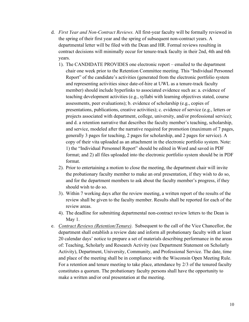- d. *First Year and Non-Contract Reviews.* All first-year faculty will be formally reviewed in the spring of their first year and the spring of subsequent non-contract years. A departmental letter will be filed with the Dean and HR. Formal reviews resulting in contract decisions will minimally occur for tenure-track faculty in their 2nd, 4th and 6th years.
	- 1). The CANDIDATE PROVIDES one electronic report emailed to the department chair one week prior to the Retention Committee meeting. This "Individual Personnel Report" of the candidate's activities (generated from the electronic portfolio system and representing activities since date-of-hire at UWL as a tenure-track faculty member) should include hyperlinks to associated evidence such as: a. evidence of teaching development activities (e.g., syllabi with learning objectives stated, course assessments, peer evaluations); b. evidence of scholarship (e.g., copies of presentations, publications, creative activities); c. evidence of service (e.g., letters or projects associated with department, college, university, and/or professional service); and d. a retention narrative that describes the faculty member's teaching, scholarship, and service, modeled after the narrative required for promotion (maximum of 7 pages, generally 3 pages for teaching, 2 pages for scholarship, and 2 pages for service). A copy of their vita uploaded as an attachment in the electronic portfolio system. Note: 1) the "Individual Personnel Report" should be edited in Word and saved in PDF format; and 2) all files uploaded into the electronic portfolio system should be in PDF format.
	- 2). Prior to entertaining a motion to close the meeting, the department chair will invite the probationary faculty member to make an oral presentation, if they wish to do so, and for the department members to ask about the faculty member's progress, if they should wish to do so.
	- 3). Within 7 working days after the review meeting, a written report of the results of the review shall be given to the faculty member. Results shall be reported for each of the review areas.
	- 4). The deadline for submitting departmental non-contract review letters to the Dean is May 1.
- e. *Contract Reviews (Retention/Tenure)*. Subsequent to the call of the Vice Chancellor, the department shall establish a review date and inform all probationary faculty with at least 20 calendar days' notice to prepare a set of materials describing performance in the areas of: Teaching, Scholarly and Research Activity (see Department Statement on Scholarly Activity), Department, University, Community, and Professional Service. The date, time and place of the meeting shall be in compliance with the Wisconsin Open Meeting Rule. For a retention and tenure meeting to take place, attendance by 2/3 of the tenured faculty constitutes a quorum. The probationary faculty persons shall have the opportunity to make a written and/or oral presentation at the meeting.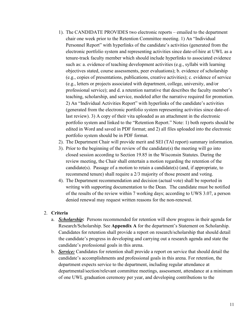- 1). The CANDIDATE PROVIDES two electronic reports emailed to the department chair one week prior to the Retention Committee meeting. 1) An "Individual Personnel Report" with hyperlinks of the candidate's activities (generated from the electronic portfolio system and representing activities since date-of-hire at UWL as a tenure-track faculty member which should include hyperlinks to associated evidence such as: a. evidence of teaching development activities (e.g., syllabi with learning objectives stated, course assessments, peer evaluations); b. evidence of scholarship (e.g., copies of presentations, publications, creative activities); c. evidence of service (e.g., letters or projects associated with department, college, university, and/or professional service); and d. a retention narrative that describes the faculty member's teaching, scholarship, and service, modeled after the narrative required for promotion. 2) An "Individual Activities Report" with hyperlinks of the candidate's activities (generated from the electronic portfolio system representing activities since date-oflast review). 3) A copy of their vita uploaded as an attachment in the electronic portfolio system and linked to the "Retention Report." Note: 1) both reports should be edited in Word and saved in PDF format; and 2) all files uploaded into the electronic portfolio system should be in PDF format.
- 2). The Department Chair will provide merit and SEI (TAI report) summary information.
- 3). Prior to the beginning of the review of the candidate(s) the meeting will go into closed session according to Section 19.85 in the Wisconsin Statutes. During the review meeting, the Chair shall entertain a motion regarding the retention of the candidate(s). Passage of a motion to retain a candidate(s) (and, if appropriate, to recommend tenure) shall require a 2/3 majority of those present and voting.
- 4). The Department recommendation and decision (actual vote) shall be reported in writing with supporting documentation to the Dean. The candidate must be notified of the results of the review within 7 working days; according to UWS 3.07, a person denied renewal may request written reasons for the non-renewal.

#### 2. **Criteria**

- a. *Scholarship***:** Persons recommended for retention will show progress in their agenda for Research/Scholarship. See **Appendix A** for the department's Statement on Scholarship. Candidates for retention shall provide a report on research/scholarship that should detail the candidate's progress in developing and carrying out a research agenda and state the candidate's professional goals in this arena.
- b. *Service:* Candidates for retention shall provide a report on service that should detail the candidate's accomplishments and professional goals in this arena. For retention, the department expects service to the department, including regular attendance at departmental/section/relevant committee meetings, assessment, attendance at a minimum of one UWL graduation ceremony per year, and developing contributions to the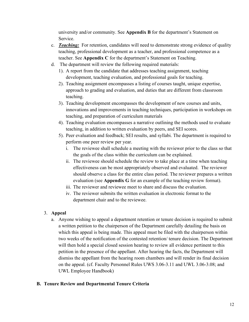university and/or community. See **Appendix B** for the department's Statement on Service.

- c. *Teaching:* For retention, candidates will need to demonstrate strong evidence of quality teaching, professional development as a teacher, and professional competence as a teacher. See **Appendix C** for the department's Statement on Teaching.
- d. The department will review the following required materials:
	- 1). A report from the candidate that addresses teaching assignment, teaching development, teaching evaluation, and professional goals for teaching.
	- 2). Teaching assignment encompasses a listing of courses taught, unique expertise, approach to grading and evaluation, and duties that are different from classroom teaching.
	- 3). Teaching development encompasses the development of new courses and units, innovations and improvements in teaching techniques, participation in workshops on teaching, and preparation of curriculum materials
	- 4). Teaching evaluation encompasses a narrative outlining the methods used to evaluate teaching, in addition to written evaluation by peers, and SEI scores.
	- 5). Peer evaluation and feedback; SEI results, and syllabi. The department is required to perform one peer review per year.
		- i. The reviewee shall schedule a meeting with the reviewer prior to the class so that the goals of the class within the curriculum can be explained.
		- ii. The reviewee should schedule the review to take place at a time when teaching effectiveness can be most appropriately observed and evaluated. The reviewer should observe a class for the entire class period. The reviewer prepares a written evaluation (see **Appendix G** for an example of the teaching review format).
		- iii. The reviewer and reviewee meet to share and discuss the evaluation.
		- iv. The reviewer submits the written evaluation in electronic format to the department chair and to the reviewee.

## 3. **Appeal**

a. Anyone wishing to appeal a department retention or tenure decision is required to submit a written petition to the chairperson of the Department carefully detailing the basis on which this appeal is being made. This appeal must be filed with the chairperson within two weeks of the notification of the contested retention/ tenure decision. The Department will then hold a special closed session hearing to review all evidence pertinent to this petition in the presence of the appellant. After hearing the facts, the Department will dismiss the appellant from the hearing room chambers and will render its final decision on the appeal. (cf. Faculty Personnel Rules UWS 3.06-3.11 and UWL 3.06-3.08; and UWL Employee Handbook)

## **B. Tenure Review and Departmental Tenure Criteria**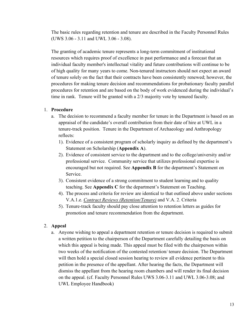The basic rules regarding retention and tenure are described in the Faculty Personnel Rules (UWS 3.06 - 3.11 and UWL 3.06 - 3.08).

The granting of academic tenure represents a long-term commitment of institutional resources which requires proof of excellence in past performance and a forecast that an individual faculty member's intellectual vitality and future contributions will continue to be of high quality for many years to come. Non-tenured instructors should not expect an award of tenure solely on the fact that their contracts have been consistently renewed; however, the procedures for making tenure decision and recommendations for probationary faculty parallel procedures for retention and are based on the body of work evidenced during the individual's time in rank. Tenure will be granted with a 2/3 majority vote by tenured faculty.

#### 1. **Procedure**

- a. The decision to recommend a faculty member for tenure in the Department is based on an appraisal of the candidate's overall contribution from their date of hire at UWL in a tenure-track position. Tenure in the Department of Archaeology and Anthropology reflects:
	- 1). Evidence of a consistent program of scholarly inquiry as defined by the department's Statement on Scholarship (**Appendix A**).
	- 2). Evidence of consistent service to the department and to the college/university and/or professional service. Community service that utilizes professional expertise is encouraged but not required. See **Appendix B** for the department's Statement on Service.
	- 3). Consistent evidence of a strong commitment to student learning and to quality teaching. See **Appendix C** for the department's Statement on Teaching.
	- 4). The process and criteria for review are identical to that outlined above under sections V.A.1.e. *Contract Reviews (Retention/Tenure)* and V.A. 2. Criteria
	- 5). Tenure-track faculty should pay close attention to retention letters as guides for promotion and tenure recommendation from the department.

#### 2. **Appeal**

a. Anyone wishing to appeal a department retention or tenure decision is required to submit a written petition to the chairperson of the Department carefully detailing the basis on which this appeal is being made. This appeal must be filed with the chairperson within two weeks of the notification of the contested retention/ tenure decision. The Department will then hold a special closed session hearing to review all evidence pertinent to this petition in the presence of the appellant. After hearing the facts, the Department will dismiss the appellant from the hearing room chambers and will render its final decision on the appeal. (cf. Faculty Personnel Rules UWS 3.06-3.11 and UWL 3.06-3.08; and UWL Employee Handbook)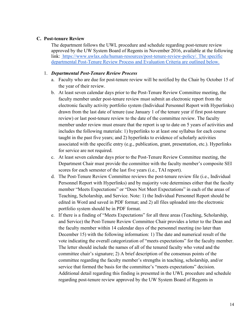#### **C. Post-tenure Review**

The department follows the UWL procedure and schedule regarding post-tenure review approved by the UW System Board of Regents in November 2016, available at the following link:[https://www.uwlax.edu/human-resources/post-tenure-review-policy/.](https://www.uwlax.edu/human-resources/post-tenure-review-policy/) The specific departmental Post-Tenure Review Process and Evaluation Criteria are outlined below.

#### 1. *Departmental Post-Tenure Review Process*

- a. Faculty who are due for post-tenure review will be notified by the Chair by October 15 of the year of their review.
- b. At least seven calendar days prior to the Post-Tenure Review Committee meeting, the faculty member under post-tenure review must submit an electronic report from the electronic faculty activity portfolio system (Individual Personnel Report with Hyperlinks) drawn from the last date of tenure (use January 1 of the tenure year if first post-tenure review) or last post-tenure review to the date of the committee review. The faculty member under review must ensure that the report is up to date on 5 years of activities and includes the following materials: 1) hyperlinks to at least one syllabus for each course taught in the past five years; and 2) hyperlinks to evidence of scholarly activities associated with the specific entry (e.g., publication, grant, presentation, etc.). Hyperlinks for service are not required.
- c. At least seven calendar days prior to the Post-Tenure Review Committee meeting, the Department Chair must provide the committee with the faculty member's composite SEI scores for each semester of the last five years (i.e., TAI report).
- d. The Post-Tenure Review Committee reviews the post-tenure review file (i.e., Individual Personnel Report with Hyperlinks) and by majority vote determines either that the faculty member "Meets Expectations" or "Does Not Meet Expectations" in each of the areas of Teaching, Scholarship, and Service. Note: 1) the Individual Personnel Report should be edited in Word and saved in PDF format; and 2) all files uploaded into the electronic portfolio system should be in PDF format.
- e. If there is a finding of "Meets Expectations" for all three areas (Teaching, Scholarship, and Service) the Post-Tenure Review Committee Chair provides a letter to the Dean and the faculty member within 14 calendar days of the personnel meeting (no later than December 15) with the following information: 1) The date and numerical result of the vote indicating the overall categorization of "meets expectations" for the faculty member. The letter should include the names of all of the tenured faculty who voted and the committee chair's signature; 2) A brief description of the consensus points of the committee regarding the faculty member's strengths in teaching, scholarship, and/or service that formed the basis for the committee's "meets expectations" decision. Additional detail regarding this finding is presented in the UWL procedure and schedule regarding post-tenure review approved by the UW System Board of Regents in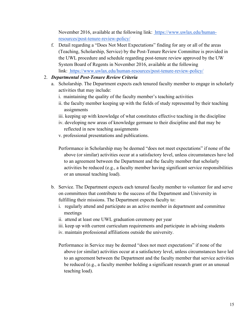November 2016, available at the following link:[https://www.uwlax.edu/human](https://www.uwlax.edu/human-resources/post-tenure-review-policy/)[resources/post-tenure-review-policy/](https://www.uwlax.edu/human-resources/post-tenure-review-policy/)

f. Detail regarding a "Does Not Meet Expectations" finding for any or all of the areas (Teaching, Scholarship, Service) by the Post-Tenure Review Committee is provided in the UWL procedure and schedule regarding post-tenure review approved by the UW System Board of Regents in November 2016, available at the following link:<https://www.uwlax.edu/human-resources/post-tenure-review-policy/>

## 2. *Departmental Post-Tenure Review Criteria*

- a. Scholarship. The Department expects each tenured faculty member to engage in scholarly activities that may include:
	- i. maintaining the quality of the faculty member's teaching activities
	- ii. the faculty member keeping up with the fields of study represented by their teaching assignments
	- iii. keeping up with knowledge of what constitutes effective teaching in the discipline
	- iv. developing new areas of knowledge germane to their discipline and that may be reflected in new teaching assignments
	- v. professional presentations and publications.
	- Performance in Scholarship may be deemed "does not meet expectations" if none of the above (or similar) activities occur at a satisfactory level, unless circumstances have led to an agreement between the Department and the faculty member that scholarly activities be reduced (e.g., a faculty member having significant service responsibilities or an unusual teaching load).
- b. Service. The Department expects each tenured faculty member to volunteer for and serve on committees that contribute to the success of the Department and University in fulfilling their missions. The Department expects faculty to:
	- i. regularly attend and participate as an active member in department and committee meetings
	- ii. attend at least one UWL graduation ceremony per year
	- iii. keep up with current curriculum requirements and participate in advising students
	- iv. maintain professional affiliations outside the university.
	- Performance in Service may be deemed "does not meet expectations" if none of the above (or similar) activities occur at a satisfactory level, unless circumstances have led to an agreement between the Department and the faculty member that service activities be reduced (e.g., a faculty member holding a significant research grant or an unusual teaching load).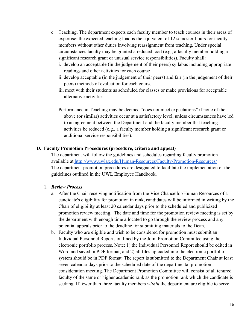- c. Teaching. The department expects each faculty member to teach courses in their areas of expertise; the expected teaching load is the equivalent of 12 semester-hours for faculty members without other duties involving reassignment from teaching. Under special circumstances faculty may be granted a reduced load (e.g., a faculty member holding a significant research grant or unusual service responsibilities). Faculty shall:
	- i. develop an acceptable (in the judgement of their peers) syllabus including appropriate readings and other activities for each course
	- ii. develop acceptable (in the judgement of their peers) and fair (in the judgement of their peers) methods of evaluation for each course
	- iii. meet with their students as scheduled for classes or make provisions for acceptable alternative activities.
	- Performance in Teaching may be deemed "does not meet expectations" if none of the above (or similar) activities occur at a satisfactory level, unless circumstances have led to an agreement between the Department and the faculty member that teaching activities be reduced (e.g., a faculty member holding a significant research grant or additional service responsibilities).

#### **D. Faculty Promotion Procedures (procedure, criteria and appeal)**

The department will follow the guidelines and schedules regarding faculty promotion available a[t http://www.uwlax.edu/Human-Resources/Faculty-Promotion-Resources/](http://www.uwlax.edu/Human-Resources/Faculty-Promotion-Resources/)  The department promotion procedures are designated to facilitate the implementation of the guidelines outlined in the UWL Employee Handbook.

#### 1. *Review Process*

- a. After the Chair receiving notification from the Vice Chancellor/Human Resources of a candidate's eligibility for promotion in rank, candidates will be informed in writing by the Chair of eligibility at least 20 calendar days prior to the scheduled and publicized promotion review meeting. The date and time for the promotion review meeting is set by the department with enough time allocated to go through the review process and any potential appeals prior to the deadline for submitting materials to the Dean.
- b. Faculty who are eligible and wish to be considered for promotion must submit an Individual Personnel Reports outlined by the Joint Promotion Committee using the electronic portfolio process. Note: 1) the Individual Personnel Report should be edited in Word and saved in PDF format; and 2) all files uploaded into the electronic portfolio system should be in PDF format. The report is submitted to the Department Chair at least seven calendar days prior to the scheduled date of the departmental promotion consideration meeting. The Department Promotion Committee will consist of all tenured faculty of the same or higher academic rank as the promotion rank which the candidate is seeking. If fewer than three faculty members *within* the department are eligible to serve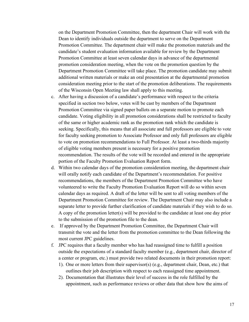on the Department Promotion Committee, then the department Chair will work with the Dean to identify individuals outside the department to serve on the Department Promotion Committee. The department chair will make the promotion materials and the candidate's student evaluation information available for review by the Department Promotion Committee at least seven calendar days in advance of the departmental promotion consideration meeting, when the vote on the promotion question by the Department Promotion Committee will take place. The promotion candidate may submit additional written materials or make an oral presentation at the departmental promotion consideration meeting prior to the start of the promotion deliberations. The requirements of the Wisconsin Open Meeting law shall apply to this meeting.

- c. After having a discussion of a candidate's performance with respect to the criteria specified in section two below, votes will be cast by members of the Department Promotion Committee via signed paper ballots on a separate motion to promote each candidate. Voting eligibility in all promotion considerations shall be restricted to faculty of the same or higher academic rank as the promotion rank which the candidate is seeking. Specifically, this means that all associate and full professors are eligible to vote for faculty seeking promotion to Associate Professor and only full professors are eligible to vote on promotion recommendations to Full Professor. At least a two-thirds majority of eligible voting members present is necessary for a positive promotion recommendation. The results of the vote will be recorded and entered in the appropriate portion of the Faculty Promotion Evaluation Report form.
- d. Within two calendar days of the promotion consideration meeting, the department chair will orally notify each candidate of the Department's recommendation. For positive recommendations, the members of the Department Promotion Committee who have volunteered to write the Faculty Promotion Evaluation Report will do so within seven calendar days as required. A draft of the letter will be sent to all voting members of the Department Promotion Committee for review. The Department Chair may also include a separate letter to provide further clarification of candidate materials if they wish to do so. A copy of the promotion letter(s) will be provided to the candidate at least one day prior to the submission of the promotion file to the dean.
- e. If approved by the Department Promotion Committee, the Department Chair will transmit the vote and the letter from the promotion committee to the Dean following the most current JPC guidelines.
- f. JPC requires that a faculty member who has had reassigned time to fulfill a position outside the expectations of a standard faculty member (e.g., department chair, director of a center or program, etc.) must provide two related documents in their promotion report:
	- 1). One or more letters from their supervisor(s) (e.g., department chair, Dean, etc.) that outlines their job description with respect to each reassigned time appointment.
	- 2). Documentation that illustrates their level of success in the role fulfilled by the appointment, such as performance reviews or other data that show how the aims of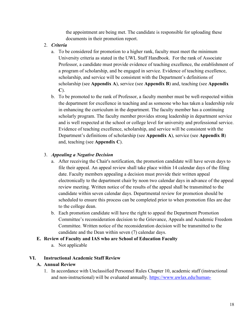the appointment are being met. The candidate is responsible for uploading these documents in their promotion report.

- 2. *Criteria*
	- a. To be considered for promotion to a higher rank, faculty must meet the minimum University criteria as stated in the UWL Staff Handbook. For the rank of Associate Professor, a candidate must provide evidence of teaching excellence, the establishment of a program of scholarship, and be engaged in service. Evidence of teaching excellence, scholarship, and service will be consistent with the Department's definitions of scholarship (see **Appendix A**), service (see **Appendix B**) and, teaching (see **Appendix C**).
	- b. To be promoted to the rank of Professor, a faculty member must be well-respected within the department for excellence in teaching and as someone who has taken a leadership role in enhancing the curriculum in the department. The faculty member has a continuing scholarly program. The faculty member provides strong leadership in department service and is well respected at the school or college level for university and professional service. Evidence of teaching excellence, scholarship, and service will be consistent with the Department's definitions of scholarship (see **Appendix A**), service (see **Appendix B**) and, teaching (see **Appendix C**).

## 3. *Appealing a Negative Decision*

- a. After receiving the Chair's notification, the promotion candidate will have seven days to file their appeal. An appeal review shall take place within 14 calendar days of the filing date. Faculty members appealing a decision must provide their written appeal electronically to the department chair by noon two calendar days in advance of the appeal review meeting. Written notice of the results of the appeal shall be transmitted to the candidate within seven calendar days. Departmental review for promotion should be scheduled to ensure this process can be completed prior to when promotion files are due to the college dean.
- b. Each promotion candidate will have the right to appeal the Department Promotion Committee's reconsideration decision to the Grievance, Appeals and Academic Freedom Committee. Written notice of the reconsideration decision will be transmitted to the candidate and the Dean within seven (7) calendar days.

## **E. Review of Faculty and IAS who are School of Education Faculty**

a. Not applicable

## **VI. Instructional Academic Staff Review**

## **A. Annual Review**

1. In accordance with Unclassified Personnel Rules Chapter 10, academic staff (instructional and non-instructional) will be evaluated annually. [https://www.uwlax.edu/human-](https://www.uwlax.edu/human-resources/resources/chairs-supervisors/supervisor-training/supervisor-performance-management/)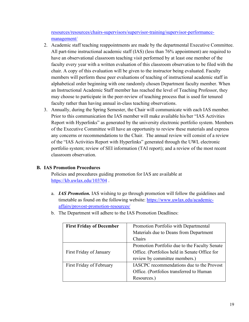[resources/resources/chairs-supervisors/supervisor-training/supervisor-performance](https://www.uwlax.edu/human-resources/resources/chairs-supervisors/supervisor-training/supervisor-performance-management/)[management/](https://www.uwlax.edu/human-resources/resources/chairs-supervisors/supervisor-training/supervisor-performance-management/) 

- 2. Academic staff teaching reappointments are made by the departmental Executive Committee. All part-time instructional academic staff (IAS) (less than 76% appointment) are required to have an observational classroom teaching visit performed by at least one member of the faculty every year with a written evaluation of this classroom observation to be filed with the chair. A copy of this evaluation will be given to the instructor being evaluated. Faculty members will perform these peer evaluations of teaching of instructional academic staff in alphabetical order beginning with one randomly chosen Department faculty member. When an Instructional Academic Staff member has reached the level of Teaching Professor, they may choose to participate in the peer-review of teaching process that is used for tenured faculty rather than having annual in-class teaching observations.
- 3. Annually, during the Spring Semester, the Chair will communicate with each IAS member. Prior to this communication the IAS member will make available his/her "IAS Activities Report with Hyperlinks" as generated by the university electronic portfolio system. Members of the Executive Committee will have an opportunity to review these materials and express any concerns or recommendations to the Chair. The annual review will consist of a review of the "IAS Activities Report with Hyperlinks" generated through the UWL electronic portfolio system; review of SEI information (TAI report); and a review of the most recent classroom observation.

## **B. IAS Promotion Procedures**

Policies and procedures guiding promotion for IAS are available at <https://kb.uwlax.edu/103704>.

- a. *IAS Promotion.* IAS wishing to go through promotion will follow the guidelines and timetable as found on the following website: [https://www.uwlax.edu/academic](https://www.uwlax.edu/academic-affairs/provost-promotion-resources/)[affairs/provost-promotion-resources/](https://www.uwlax.edu/academic-affairs/provost-promotion-resources/) 
	- **First Friday of December** | Promotion Portfolio with Departmental Materials due to Deans from Department Chairs First Friday of January Promotion Portfolio due to the Faculty Senate Office. (Portfolios held in Senate Office for review by committee members.) First Friday of February **IASCPC** recommendations due to the Provost Office. (Portfolios transferred to Human Resources.)
- b. The Department will adhere to the IAS Promotion Deadlines: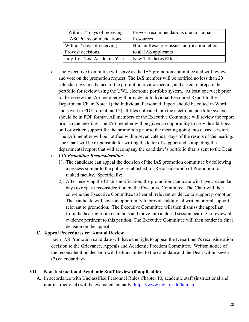| Within 14 days of receiving   | Provost recommendations due to Human        |
|-------------------------------|---------------------------------------------|
| <b>IASCPC</b> recommendations | Resources                                   |
| Within 7 days of receiving    | Human Resources issues notification letters |
| Provost decisions             | to all IAS applicants                       |
| July 1 of Next Academic Year  | New Title takes Effect                      |

c. The Executive Committee will serve as the IAS promotion committee and will review and vote on the promotion request. The IAS member will be notified no less than 20 calendar days in advance of the promotion review meeting and asked to prepare the portfolio for review using the UWL electronic portfolio system. At least one week prior to the review the IAS member will provide an Individual Personnel Report to the Department Chair. Note: 1) the Individual Personnel Report should be edited in Word and saved in PDF format; and 2) all files uploaded into the electronic portfolio system should be in PDF format. All members of the Executive Committee will review the report prior to the meeting. The IAS member will be given an opportunity to provide additional oral or written support for the promotion prior to the meeting going into closed session. The IAS member will be notified within seven calendar days of the results of the hearing. The Chair will be responsible for writing the letter of support and completing the departmental report that will accompany the candidate's portfolio that is sent to the Dean.

## d. *IAS Promotion Reconsideration*

- 1). The candidate can appeal the decision of the IAS promotion committee by following a process similar to the policy established for Reconsideration of Promotion for ranked faculty. Specifically:
- 2). After receiving the Chair's notification, the promotion candidate will have 7 calendar days to request reconsideration by the Executive Committee. The Chair will then convene the Executive Committee to hear all relevant evidence to support promotion. The candidate will have an opportunity to provide additional written or oral support relevant to promotion. The Executive Committee will then dismiss the appellant from the hearing room chambers and move into a closed session hearing to review all evidence pertinent to this petition. The Executive Committee will then render its final decision on the appeal.

## **C. Appeal Procedures re: Annual Review**

1. Each IAS Promotion candidate will have the right to appeal the Department's reconsideration decision to the Grievance, Appeals and Academic Freedom Committee. Written notice of the reconsideration decision will be transmitted to the candidate and the Dean within seven (7) calendar days.

## **VII. Non-Instructional Academic Staff Review (if applicable)**

**A.** In accordance with Unclassified Personnel Rules Chapter 10, academic staff (instructional and non-instructional) will be evaluated annually. [https://www.uwlax.edu/human-](https://www.uwlax.edu/human-resources/services/employee-relations/performance-management/)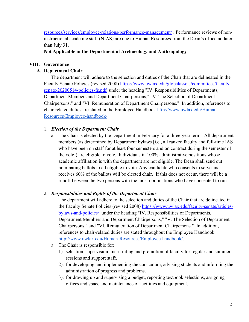[resources/services/employee-relations/performance-management/](https://www.uwlax.edu/human-resources/services/employee-relations/performance-management/) . Performance reviews of noninstructional academic staff (NIAS) are due to Human Resources from the Dean's office no later than July 31.

**Not Applicable in the Department of Archaeology and Anthropology**

## **VIII. Governance**

## **A. Department Chair**

 The department will adhere to the selection and duties of the Chair that are delineated in the Faculty Senate Policies (revised 2008) [https://www.uwlax.edu/globalassets/committees/faculty](https://www.uwlax.edu/globalassets/committees/faculty-senate/20200514-policies-fs.pdf)[senate/20200514-policies-fs.pdf](https://www.uwlax.edu/globalassets/committees/faculty-senate/20200514-policies-fs.pdf) under the heading "IV. Responsibilities of Departments, Department Members and Department Chairpersons," "V. The Selection of Department Chairpersons," and "VI. Remuneration of Department Chairpersons." In addition, references to chair-related duties are stated in the Employee Handbook [http://www.uwlax.edu/Human-](http://www.uwlax.edu/Human-Resources/Employee-handbook/)[Resources/Employee-handbook/](http://www.uwlax.edu/Human-Resources/Employee-handbook/)

## 1. *Election of the Department Chair*

a. The Chair is elected by the Department in February for a three-year term. All department members (as determined by Department bylaws [i.e., all ranked faculty and full-time IAS who have been on staff for at least four semesters and on contract during the semester of the vote]) are eligible to vote. Individuals in 100% administrative positions whose academic affiliation is with the department are not eligible. The Dean shall send out nominating ballots to all eligible to vote. Any candidate who consents to serve and receives 60% of the ballots will be elected chair. If this does not occur, there will be a runoff between the two persons with the most nominations who have consented to run.

## 2. *Responsibilities and Rights of the Department Chair*

The department will adhere to the selection and duties of the Chair that are delineated in the Faculty Senate Policies (revised 2008) [https://www.uwlax.edu/faculty-senate/articles](https://www.uwlax.edu/faculty-senate/articles-bylaws-and-policies/)[bylaws-and-policies/](https://www.uwlax.edu/faculty-senate/articles-bylaws-and-policies/) [u](http://www.uwlax.edu/facultysenate/FacSenatePolicies.html)nder the heading "IV. Responsibilities of Departments, Department Members and Department Chairpersons," "V. The Selection of Department Chairpersons," and "VI. Remuneration of Department Chairpersons." In addition, references to chair-related duties are stated throughout the Employee Handbook [http://www.uwlax.edu/Human-Resources/Employee-handbook/.](http://www.uwlax.edu/Human-Resources/Employee-handbook/)

- a. The Chair is responsible for:
	- 1). selection, supervision, merit rating and promotion of faculty for regular and summer sessions and support staff.
	- 2). for developing and implementing the curriculum, advising students and informing the administration of progress and problems.
	- 3). for drawing up and supervising a budget, reporting textbook selections, assigning offices and space and maintenance of facilities and equipment.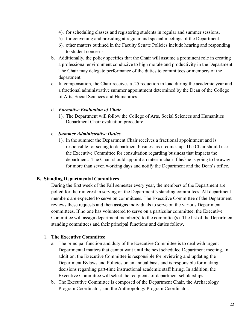- 4). for scheduling classes and registering students in regular and summer sessions.
- 5). for convening and presiding at regular and special meetings of the Department.
- 6). other matters outlined in the Faculty Senate Policies include hearing and responding to student concerns.
- b. Additionally, the policy specifies that the Chair will assume a prominent role in creating a professional environment conducive to high morale and productivity in the Department. The Chair may delegate performance of the duties to committees or members of the department.
- c. In compensation, the Chair receives a .25 reduction in load during the academic year and a fractional administrative summer appointment determined by the Dean of the College of Arts, Social Sciences and Humanities.

#### d. *Formative Evaluation of Chair*

1). The Department will follow the College of Arts, Social Sciences and Humanities Department Chair evaluation procedure.

#### e. *Summer Administrative Duties*

1). In the summer the Department Chair receives a fractional appointment and is responsible for seeing to department business as it comes up. The Chair should use the Executive Committee for consultation regarding business that impacts the department. The Chair should appoint an interim chair if he/she is going to be away for more than seven working days and notify the Department and the Dean's office.

#### **B. Standing Departmental Committees**

During the first week of the Fall semester every year, the members of the Department are polled for their interest in serving on the Department's standing committees. All department members are expected to serve on committees. The Executive Committee of the Department reviews these requests and then assigns individuals to serve on the various Department committees. If no one has volunteered to serve on a particular committee, the Executive Committee will assign department member(s) to the committee(s). The list of the Department standing committees and their principal functions and duties follow.

#### 1. **The Executive Committee**

- a. The principal function and duty of the Executive Committee is to deal with urgent Departmental matters that cannot wait until the next scheduled Department meeting. In addition, the Executive Committee is responsible for reviewing and updating the Department Bylaws and Policies on an annual basis and is responsible for making decisions regarding part-time instructional academic staff hiring. In addition, the Executive Committee will select the recipients of department scholarships.
- b. The Executive Committee is composed of the Department Chair, the Archaeology Program Coordinator, and the Anthropology Program Coordinator.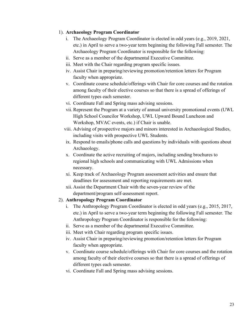## 1). **Archaeology Program Coordinator**

- i. The Archaeology Program Coordinator is elected in odd years (e.g., 2019, 2021, etc.) in April to serve a two-year term beginning the following Fall semester. The Archaeology Program Coordinator is responsible for the following:
- ii. Serve as a member of the departmental Executive Committee.
- iii. Meet with the Chair regarding program specific issues.
- iv. Assist Chair in preparing/reviewing promotion/retention letters for Program faculty when appropriate.
- v. Coordinate course schedule/offerings with Chair for core courses and the rotation among faculty of their elective courses so that there is a spread of offerings of different types each semester.
- vi. Coordinate Fall and Spring mass advising sessions.
- vii. Represent the Program at a variety of annual university promotional events (UWL High School Councilor Workshop, UWL Upward Bound Luncheon and Workshop, MVAC events, etc.) if Chair is unable.
- viii. Advising of prospective majors and minors interested in Archaeological Studies, including visits with prospective UWL Students.
- ix. Respond to emails/phone calls and questions by individuals with questions about Archaeology.
- x. Coordinate the active recruiting of majors, including sending brochures to regional high schools and communicating with UWL Admissions when necessary.
- xi. Keep track of Archaeology Program assessment activities and ensure that deadlines for assessment and reporting requirements are met.
- xii. Assist the Department Chair with the seven-year review of the department/program self-assessment report.

## 2). **Anthropology Program Coordinator**

- i. The Anthropology Program Coordinator is elected in odd years (e.g., 2015, 2017, etc.) in April to serve a two-year term beginning the following Fall semester. The Anthropology Program Coordinator is responsible for the following:
- ii. Serve as a member of the departmental Executive Committee.
- iii. Meet with Chair regarding program specific issues.
- iv. Assist Chair in preparing/reviewing promotion/retention letters for Program faculty when appropriate.
- v. Coordinate course schedule/offerings with Chair for core courses and the rotation among faculty of their elective courses so that there is a spread of offerings of different types each semester.
- vi. Coordinate Fall and Spring mass advising sessions.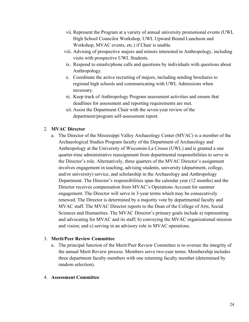- vii. Represent the Program at a variety of annual university promotional events (UWL High School Councilor Workshop, UWL Upward Bound Luncheon and Workshop, MVAC events, etc.) if Chair is unable.
- viii. Advising of prospective majors and minors interested in Anthropology, including visits with prospective UWL Students.
- ix. Respond to emails/phone calls and questions by individuals with questions about Anthropology.
- x. Coordinate the active recruiting of majors, including sending brochures to regional high schools and communicating with UWL Admissions when necessary.
- xi. Keep track of Anthropology Program assessment activities and ensure that deadlines for assessment and reporting requirements are met.
- xii. Assist the Department Chair with the seven-year review of the department/program self-assessment report.

## 2. **MVAC Director**

a. The Director of the Mississippi Valley Archaeology Center (MVAC) is a member of the Archaeological Studies Program faculty of the Department of Archaeology and Anthropology at the University of Wisconsin-La Crosse (UWL) and is granted a one quarter-time administrative reassignment from departmental responsibilities to serve in the Director's role. Alternatively, three quarters of the MVAC Director's assignment involves engagement in teaching, advising students, university (department, college, and/or university) service, and scholarship in the Archaeology and Anthropology Department. The Director's responsibilities span the calendar year (12 months) and the Director receives compensation from MVAC's Operations Account for summer engagement. The Director will serve in 3-year terms which may be consecutively renewed. The Director is determined by a majority vote by departmental faculty and MVAC staff. The MVAC Director reports to the Dean of the College of Arts, Social Sciences and Humanities. The MVAC Director's primary goals include a) representing and advocating for MVAC and its staff; b) conveying the MVAC organizational mission and vision; and c) serving in an advisory role in MVAC operations.

#### 3. **Merit/Peer Review Committee**

a. The principal function of the Merit/Peer Review Committee is to oversee the integrity of the annual Merit Review process. Members serve two-year terms. Membership includes three department faculty members with one returning faculty member (determined by random selection).

#### 4. **Assessment Committee**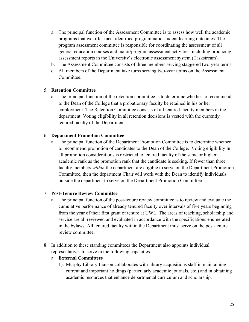- a. The principal function of the Assessment Committee is to assess how well the academic programs that we offer meet identified programmatic student learning outcomes. The program assessment committee is responsible for coordinating the assessment of all general education courses and major/program assessment activities, including producing assessment reports in the University's electronic assessment system (Taskstream).
- b. The Assessment Committee consists of three members serving staggered two-year terms.
- c. All members of the Department take turns serving two-year terms on the Assessment Committee.

#### 5. **Retention Committee**

a. The principal function of the retention committee is to determine whether to recommend to the Dean of the College that a probationary faculty be retained in his or her employment. The Retention Committee consists of all tenured faculty members in the department. Voting eligibility in all retention decisions is vested with the currently tenured faculty of the Department.

#### 6. **Department Promotion Committee**

a. The principal function of the Department Promotion Committee is to determine whether to recommend promotion of candidates to the Dean of the College. Voting eligibility in all promotion considerations is restricted to tenured faculty of the same or higher academic rank as the promotion rank that the candidate is seeking. If fewer than three faculty members *within* the department are eligible to serve on the Department Promotion Committee, then the department Chair will work with the Dean to identify individuals outside the department to serve on the Department Promotion Committee.

#### 7. **Post-Tenure Review Committee**

- a. The principal function of the post-tenure review committee is to review and evaluate the cumulative performance of already tenured faculty over intervals of five years beginning from the year of their first grant of tenure at UWL. The areas of teaching, scholarship and service are all reviewed and evaluated in accordance with the specifications enumerated in the bylaws. All tenured faculty within the Department must serve on the post-tenure review committee.
- 8. In addition to these standing committees the Department also appoints individual representatives to serve in the following capacities:

#### a. **External Committees**

1). Murphy Library Liaison collaborates with library acquisitions staff in maintaining current and important holdings (particularly academic journals, etc.) and in obtaining academic resources that enhance departmental curriculum and scholarship.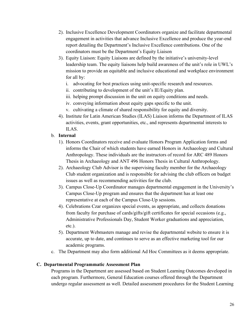- 2). Inclusive Excellence Development Coordinators organize and facilitate departmental engagement in activities that advance Inclusive Excellence and produce the year-end report detailing the Department's Inclusive Excellence contributions. One of the coordinators must be the Department's Equity Liaison
- 3). Equity Liaison: Equity Liaisons are defined by the initiative's university-level leadership team. The equity liaisons help build awareness of the unit's role in UWL's mission to provide an equitable and inclusive educational and workplace environment for all by:
	- i. advocating for best practices using unit-specific research and resources.
	- ii. contributing to development of the unit's IE/Equity plan.
	- iii. helping prompt discussion in the unit on equity conditions and needs.
	- iv. conveying information about equity gaps specific to the unit.
	- v. cultivating a climate of shared responsibility for equity and diversity.
- 4). Institute for Latin American Studies (ILAS) Liaison informs the Department of ILAS activities, events, grant opportunities, etc., and represents departmental interests to ILAS.

## b. **Internal**

- 1). Honors Coordinators receive and evaluate Honors Program Application forms and informs the Chair of which students have earned Honors in Archaeology and Cultural Anthropology. These individuals are the instructors of record for ARC 489 Honors Thesis in Archaeology and ANT 496 Honors Thesis in Cultural Anthropology.
- 2). Archaeology Club Advisor is the supervising faculty member for the Archaeology Club student organization and is responsible for advising the club officers on budget issues as well as recommending activities for the club.
- 3). Campus Close-Up Coordinator manages departmental engagement in the University's Campus Close-Up program and ensures that the department has at least one representative at each of the Campus Close-Up sessions.
- 4). Celebrations Czar organizes special events, as appropriate, and collects donations from faculty for purchase of cards/gifts/gift certificates for special occasions (e.g., Administrative Professionals Day, Student Worker graduations and appreciation, etc.).
- 5). Department Webmasters manage and revise the departmental website to ensure it is accurate, up to date, and continues to serve as an effective marketing tool for our academic programs.
- c. The Department may also form additional Ad Hoc Committees as it deems appropriate.

#### **C. Departmental Programmatic Assessment Plan**

Programs in the Department are assessed based on Student Learning Outcomes developed in each program. Furthermore, General Education courses offered through the Department undergo regular assessment as well. Detailed assessment procedures for the Student Learning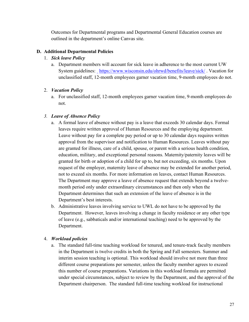Outcomes for Departmental programs and Departmental General Education courses are outlined in the department's online Canvas site.

## **D. Additional Departmental Policies**

#### 1. *Sick leave Policy*

a. Department members will account for sick leave in adherence to the most current UW Systemguidelines: https://www.wisconsin.edu/ohrwd/benefits/leave/sick/. Vacation for unclassified staff, 12-month employees garner vacation time, 9-month employees do not.

## 2. *Vacation Policy*

a. For unclassified staff, 12-month employees garner vacation time, 9-month employees do not.

## *3. Leave of Absence Policy*

- a. A formal leave of absence without pay is a leave that exceeds 30 calendar days. Formal leaves require written approval of Human Resources and the employing department. Leave without pay for a complete pay period or up to 30 calendar days requires written approval from the supervisor and notification to Human Resources. Leaves without pay are granted for illness, care of a child, spouse, or parent with a serious health condition, education, military, and exceptional personal reasons. Maternity/paternity leaves will be granted for birth or adoption of a child for up to, but not exceeding, six months. Upon request of the employer, maternity leave of absence may be extended for another period, not to exceed six months. For more information on leaves, contact Human Resources. The Department may approve a leave of absence request that extends beyond a twelvemonth period only under extraordinary circumstances and then only when the Department determines that such an extension of the leave of absence is in the Department's best interests.
- b. Administrative leaves involving service to UWL do not have to be approved by the Department. However, leaves involving a change in faculty residence or any other type of leave (e.g., sabbaticals and/or international teaching) need to be approved by the Department.

## 4. *Workload policies*

a. The standard full-time teaching workload for tenured, and tenure-track faculty members in the Department is twelve credits in both the Spring and Fall semesters. Summer and interim session teaching is optional. This workload should involve not more than three different course preparations per semester, unless the faculty member agrees to exceed this number of course preparations. Variations in this workload formula are permitted under special circumstances, subject to review by the Department, and the approval of the Department chairperson. The standard full-time teaching workload for instructional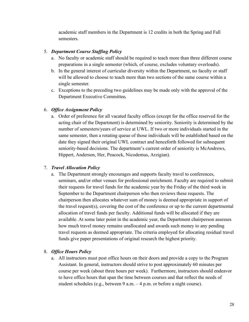academic staff members in the Department is 12 credits in both the Spring and Fall semesters.

## 5. *Department Course Staffing Policy*

- a. No faculty or academic staff should be required to teach more than three different course preparations in a single semester (which, of course, excludes voluntary overloads).
- b. In the general interest of curricular diversity within the Department, no faculty or staff will be allowed to choose to teach more than two sections of the same course within a single semester.
- c. Exceptions to the preceding two guidelines may be made only with the approval of the Department Executive Committee*.*

## 6. *Office Assignment Policy*

a. Order of preference for all vacated faculty offices (except for the office reserved for the acting chair of the Department) is determined by seniority. Seniority is determined by the number of semesters/years of service at UWL. If two or more individuals started in the same semester, then a rotating queue of those individuals will be established based on the date they signed their original UWL contract and henceforth followed for subsequent seniority-based decisions. The department's current order of seniority is McAndrews, Hippert, Anderson, Her, Peacock, Nicodemus, Arzigian).

## 7. *Travel Allocation Policy*

a. The Department strongly encourages and supports faculty travel to conferences, seminars, and/or other venues for professional enrichment. Faculty are required to submit their requests for travel funds for the academic year by the Friday of the third week in September to the Department chairperson who then reviews these requests. The chairperson then allocates whatever sum of money is deemed appropriate in support of the travel request(s), covering the cost of the conference or up to the current departmental allocation of travel funds per faculty. Additional funds will be allocated if they are available. At some later point in the academic year, the Department chairperson assesses how much travel money remains unallocated and awards such money to any pending travel requests as deemed appropriate. The criteria employed for allocating residual travel funds give paper presentations of original research the highest priority.

## 8. *Office Hours Policy*

a. All instructors must post office hours on their doors and provide a copy to the Program Assistant. In general, instructors should strive to post approximately 60 minutes per course per week (about three hours per week). Furthermore, instructors should endeavor to have office hours that span the time between courses and that reflect the needs of student schedules (e.g., between 9 a.m. – 4 p.m. or before a night course).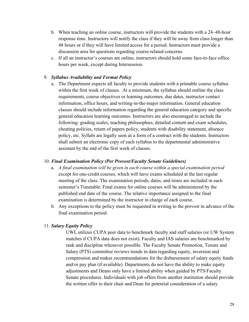- b. When teaching an online course, instructors will provide the students with a 24–48-hour response time. Instructors will notify the class if they will be away from class longer than 48 hours or if they will have limited access for a period. Instructors must provide a discussion area for questions regarding course-related concerns.
- c. If all an instructor's courses are online, instructors should hold some face-to-face office hours per week, except during Intersession.

#### 9. *Syllabus Availability and Format Policy*

a. The Department expects all faculty to provide students with a printable course syllabus within the first week of classes. At a minimum, the syllabus should outline the class requirements, course objectives or learning outcomes, due dates, instructor contact information, office hours, and writing-in-the-major information. General education classes should include information regarding the general education category and specific general education learning outcomes. Instructors are also encouraged to include the following: grading scales, teaching philosophies, detailed content and exam schedules, cheating policies, return of papers policy, students with disability statement, absence policy, etc. Syllabi are legally seen as a form of a contract with the students. Instructors shall submit an electronic copy of each syllabus to the departmental administrative assistant by the end of the first week of classes.

#### 10. *Final Examination Policy (Per Provost/Faculty Senate Guidelines)*

- a. *A final examination will be given in each course within a special examination period* except for one-credit courses, which will have exams scheduled at the last regular meeting of the class. The examination periods, dates, and times are included in each semester's Timetable. Final exams for online courses will be administered by the published end date of the course. The relative importance assigned to the final examination is determined by the instructor in charge of each course.
- b. Any exceptions to the policy must be requested in writing to the provost in advance of the final examination period.

#### 11. *Salary Equity Policy*

UWL utilizes CUPA peer data to benchmark faculty and staff salaries (or UW System matches if CUPA data does not exist). Faculty and IAS salaries are benchmarked by rank and discipline whenever possible. The Faculty Senate Promotion, Tenure and Salary (PTS) committee reviews trends in data regarding equity, inversion and compression and makes recommendations for the disbursement of salary equity funds and/or pay plan (if available). Departments do not have the ability to make equity adjustments and Deans only have a limited ability when guided by PTS/Faculty Senate procedures. Individuals with job offers from another institution should provide the written offer to their chair and Dean for potential consideration of a salary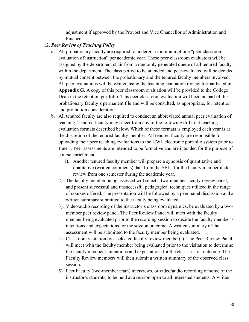adjustment if approved by the Provost and Vice Chancellor of Administration and Finance.

#### 12. *Peer Review of Teaching Policy*

- a. All probationary faculty are required to undergo a minimum of one "peer classroom evaluation of instruction" per academic year. These peer classroom evaluators will be assigned by the department chair from a randomly generated queue of all tenured faculty within the department. The class period to be attended and peer-evaluated will be decided by mutual consent between the probationary and the tenured faculty members involved. All peer evaluations will be written using the teaching evaluation review format listed in **Appendix G**. A copy of this peer classroom evaluation will be provided to the College Dean in the retention portfolio. This peer classroom evaluation will become part of the probationary faculty's permanent file and will be consulted, as appropriate, for retention and promotion considerations.
- b. All tenured faculty are also required to conduct an abbreviated annual peer evaluation of teaching. Tenured faculty may select from any of the following different teaching evaluation formats described below. Which of these formats is employed each year is at the discretion of the tenured faculty member. All tenured faculty are responsible for uploading their peer teaching evaluations to the UWL electronic portfolio system prior to June 1. Peer assessments are intended to be formative and are intended for the purpose of course enrichment.
	- 1). Another tenured faculty member will prepare a synopsis of quantitative and qualitative (written comments) data from the SEI's for the faculty member under review from one semester during the academic year.
	- 2). The faculty member being assessed will select a two-member faculty review panel, and present successful and unsuccessful pedagogical techniques utilized in the range of courses offered. The presentation will be followed by a peer panel discussion and a written summary submitted to the faculty being evaluated.
	- 3). Video/audio recording of the instructor's classroom dynamics, be evaluated by a twomember peer review panel. The Peer Review Panel will meet with the faculty member being evaluated prior to the recording session to decide the faculty member's intentions and expectations for the session outcome. A written summary of the assessment will be submitted to the faculty member being evaluated.
	- 4). Classroom visitation by a selected faculty review member(s). The Peer Review Panel will meet with the faculty member being evaluated prior to the visitation to determine the faculty member's intentions and expectations for the class session outcome. The Faculty Review members will then submit a written summary of the observed class session.
	- 5). Peer Faculty (two-member team) interviews, or video/audio recording of some of the instructor's students, to be held at a session open to all interested students. A written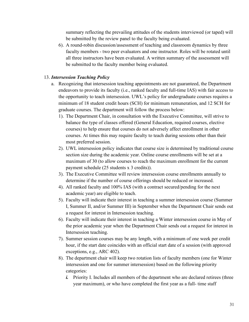summary reflecting the prevailing attitudes of the students interviewed (or taped) will be submitted by the review panel to the faculty being evaluated.

6). A round-robin discussion/assessment of teaching and classroom dynamics by three faculty members - two peer evaluators and one instructor. Roles will be rotated until all three instructors have been evaluated. A written summary of the assessment will be submitted to the faculty member being evaluated.

## 13. *Intersession Teaching Policy*

- a. Recognizing that intersession teaching appointments are not guaranteed, the Department endeavors to provide its faculty (i.e., ranked faculty and full-time IAS) with fair access to the opportunity to teach intersession. UWL's policy for undergraduate courses requires a minimum of 18 student credit hours (SCH) for minimum remuneration, and 12 SCH for graduate courses. The department will follow the process below:
	- 1). The Department Chair, in consultation with the Executive Committee, will strive to balance the type of classes offered (General Education, required courses, elective courses) to help ensure that courses do not adversely affect enrollment in other courses. At times this may require faculty to teach during sessions other than their most preferred session.
	- 2). UWL intersession policy indicates that course size is determined by traditional course section size during the academic year. Online course enrollments will be set at a maximum of 30 (to allow courses to reach the maximum enrollment for the current payment schedule (25 students x 3 credits)).
	- 3). The Executive Committee will review intersession course enrollments annually to determine if the number of course offerings should be reduced or increased.
	- 4). All ranked faculty and 100% IAS (with a contract secured/pending for the next academic year) are eligible to teach.
	- 5). Faculty will indicate their interest in teaching a summer intersession course (Summer I, Summer II, and/or Summer III) in September when the Department Chair sends out a request for interest in Intersession teaching.
	- 6). Faculty will indicate their interest in teaching a Winter intersession course in May of the prior academic year when the Department Chair sends out a request for interest in Intersession teaching.
	- 7). Summer session courses may be any length, with a minimum of one week per credit hour, if the start date coincides with an official start date of a session (with approved exceptions, e.g., ARC 402).
	- 8). The department chair will keep two rotation lists of faculty members (one for Winter intersession and one for summer intersession) based on the following priority categories:
		- *i.* Priority I. Includes all members of the department who are declared retirees (three year maximum), or who have completed the first year as a full- time staff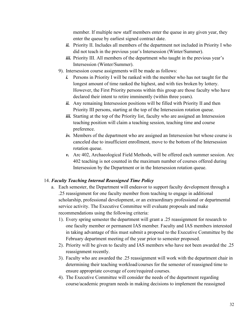member. If multiple new staff members enter the queue in any given year, they enter the queue by earliest signed contract date.

- *ii.* Priority II. Includes all members of the department not included in Priority I who did not teach in the previous year's Intersession (Winter/Summer).
- *iii.* Priority III. All members of the department who taught in the previous year's Intersession (Winter/Summer).
- 9). Intersession course assignments will be made as follows:
	- *i.* Persons in Priority I will be ranked with the member who has not taught for the longest amount of time ranked the highest, and with ties broken by lottery. However, the First Priority persons within this group are those faculty who have declared their intent to retire imminently (within three years).
	- *ii.* Any remaining Intersession positions will be filled with Priority II and then Priority III persons, starting at the top of the Intersession rotation queue.
	- *iii.* Starting at the top of the Priority list, faculty who are assigned an Intersession teaching position will claim a teaching session, teaching time and course preference.
	- *iv.* Members of the department who are assigned an Intersession but whose course is canceled due to insufficient enrollment, move to the bottom of the Intersession rotation queue.
	- *v.* Arc 402, Archaeological Field Methods, will be offered each summer session. Arc 402 teaching is not counted in the maximum number of courses offered during Intersession by the Department or in the Intersession rotation queue.

#### 14. *Faculty Teaching Internal Reassigned Time Policy*

- a. Each semester, the Department will endeavor to support faculty development through a .25 reassignment for one faculty member from teaching to engage in additional scholarship, professional development, or an extraordinary professional or departmental service activity. The Executive Committee will evaluate proposals and make recommendations using the following criteria:
	- 1). Every spring semester the department will grant a .25 reassignment for research to one faculty member or permanent IAS member. Faculty and IAS members interested in taking advantage of this must submit a proposal to the Executive Committee by the February department meeting of the year prior to semester proposed.
	- 2). Priority will be given to faculty and IAS members who have not been awarded the .25 reassignment recently.
	- 3). Faculty who are awarded the .25 reassignment will work with the department chair in determining their teaching workload/courses for the semester of reassigned time to ensure appropriate coverage of core/required courses.
	- 4). The Executive Committee will consider the needs of the department regarding course/academic program needs in making decisions to implement the reassigned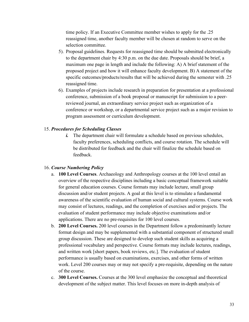time policy. If an Executive Committee member wishes to apply for the .25 reassigned time, another faculty member will be chosen at random to serve on the selection committee.

- 5). Proposal guidelines. Requests for reassigned time should be submitted electronically to the department chair by 4:30 p.m. on the due date. Proposals should be brief, a maximum one page in length and include the following: A) A brief statement of the proposed project and how it will enhance faculty development. B) A statement of the specific outcomes/products/results that will be achieved during the semester with .25 reassigned time.
- 6). Examples of projects include research in preparation for presentation at a professional conference, submission of a book proposal or manuscript for submission to a peerreviewed journal, an extraordinary service project such as organization of a conference or workshop, or a departmental service project such as a major revision to program assessment or curriculum development.

#### 15. *Procedures for Scheduling Classes*

*i.* The department chair will formulate a schedule based on previous schedules, faculty preferences, scheduling conflicts, and course rotation. The schedule will be distributed for feedback and the chair will finalize the schedule based on feedback.

#### 16. *Course Numbering Policy*

- a. **100 Level Courses**. Archaeology and Anthropology courses at the 100 level entail an overview of the respective disciplines including a basic conceptual framework suitable for general education courses. Course formats may include lecture, small group discussion and/or student projects. A goal at this level is to stimulate a fundamental awareness of the scientific evaluation of human social and cultural systems. Course work may consist of lectures, readings, and the completion of exercises and/or projects. The evaluation of student performance may include objective examinations and/or applications. There are no pre-requisites for 100 level courses.
- b. **200 Level Courses.** 200 level courses in the Department follow a predominantly lecture format design and may be supplemented with a substantial component of structured small group discussion. These are designed to develop such student skills as acquiring a professional vocabulary and perspective. Course formats may include lectures, readings, and written work [short papers, book reviews, etc.]. The evaluation of student performance is usually based on examinations, exercises, and other forms of written work. Level 200 courses may or may not specify a pre-requisite, depending on the nature of the course.
- c. **300 Level Courses.** Courses at the 300 level emphasize the conceptual and theoretical development of the subject matter. This level focuses on more in-depth analysis of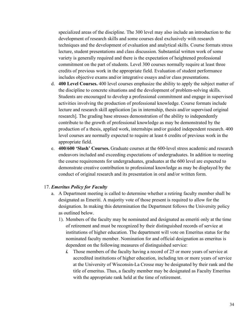specialized areas of the discipline. The 300 level may also include an introduction to the development of research skills and some courses deal exclusively with research techniques and the development of evaluation and analytical skills. Course formats stress lecture, student presentations and class discussion. Substantial written work of some variety is generally required and there is the expectation of heightened professional commitment on the part of students. Level 300 courses normally require at least three credits of previous work in the appropriate field. Evaluation of student performance includes objective exams and/or integrative essays and/or class presentations.

- d. **400 Level Courses.** 400 level courses emphasize the ability to apply the subject matter of the discipline to concrete situations and the development of problem-solving skills. Students are encouraged to develop a professional commitment and engage in supervised activities involving the production of professional knowledge. Course formats include lecture and research skill application [as in internship, thesis and/or supervised original research]. The grading base stresses demonstration of the ability to independently contribute to the growth of professional knowledge as may be demonstrated by the production of a thesis, applied work, internships and/or guided independent research. 400 level courses are normally expected to require at least 6 credits of previous work in the appropriate field.
- e. **400/600 'Slash' Courses.** Graduate courses at the 600-level stress academic and research endeavors included and exceeding expectations of undergraduates. In addition to meeting the course requirements for undergraduates, graduates at the 600 level are expected to demonstrate creative contribution to professional knowledge as may be displayed by the conduct of original research and its presentation in oral and/or written form.

#### 17. *Emeritus Policy for Faculty*

- a. A Department meeting is called to determine whether a retiring faculty member shall be designated as Emeriti. A majority vote of those present is required to allow for the designation. In making this determination the Department follows the University policy as outlined below.
	- 1). Members of the faculty may be nominated and designated as emeriti only at the time of retirement and must be recognized by their distinguished records of service at institutions of higher education. The department will vote on Emeritus status for the nominated faculty member. Nomination for and official designation as emeritus is dependent on the following measures of distinguished service:
		- *i.* Those members of the faculty having a record of 25 or more years of service at accredited institutions of higher education, including ten or more years of service at the University of Wisconsin-La Crosse may be designated by their rank and the title of emeritus. Thus, a faculty member may be designated as Faculty Emeritus with the appropriate rank held at the time of retirement.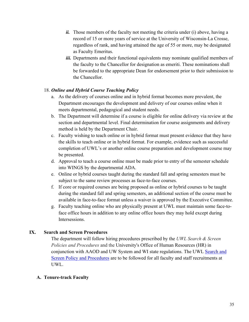- *ii.* Those members of the faculty not meeting the criteria under (i) above, having a record of 15 or more years of service at the University of Wisconsin-La Crosse, regardless of rank, and having attained the age of 55 or more, may be designated as Faculty Emeritus.
- iii. Departments and their functional equivalents may nominate qualified members of the faculty to the Chancellor for designation as emeriti. These nominations shall be forwarded to the appropriate Dean for endorsement prior to their submission to the Chancellor.

#### 18. *Online and Hybrid Course Teaching Policy*

- a. As the delivery of courses online and in hybrid format becomes more prevalent, the Department encourages the development and delivery of our courses online when it meets departmental, pedagogical and student needs.
- b. The Department will determine if a course is eligible for online delivery via review at the section and departmental level. Final determination for course assignments and delivery method is held by the Department Chair.
- c. Faculty wishing to teach online or in hybrid format must present evidence that they have the skills to teach online or in hybrid format. For example, evidence such as successful completion of UWL's or another online course preparation and development course may be presented.
- d. Approval to teach a course online must be made prior to entry of the semester schedule into WINGS by the departmental ADA.
- e. Online or hybrid courses taught during the standard fall and spring semesters must be subject to the same review processes as face-to-face courses.
- f. If core or required courses are being proposed as online or hybrid courses to be taught during the standard fall and spring semesters, an additional section of the course must be available in face-to-face format unless a waiver is approved by the Executive Committee.
- g. Faculty teaching online who are physically present at UWL must maintain some face-toface office hours in addition to any online office hours they may hold except during Intersessions.

## **IX. Search and Screen Procedures**

The department will follow hiring procedures prescribed by the *UWL Search & Screen Policies and Procedures* and the University's Office of Human Resources (HR) in conjunction with AAOD and UW System and WI state regulations. The UWL [Search and](https://kb.uwlax.edu/104752)  [Screen Policy and Procedures](https://kb.uwlax.edu/104752) are to be followed for all faculty and staff recruitments at UWL.

## **A. Tenure-track Faculty**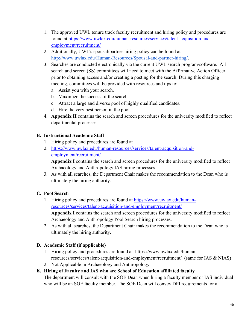- 1. The approved UWL tenure track faculty recruitment and hiring policy and procedures are found at [https://www.uwlax.edu/human-resources/services/talent-acquisition-and](https://www.uwlax.edu/human-resources/services/talent-acquisition-and-employment/recruitment/)[employment/recruitment/](https://www.uwlax.edu/human-resources/services/talent-acquisition-and-employment/recruitment/)
- 2. Additionally, UWL's spousal/partner hiring policy can be found at [http://www.uwlax.edu/Human-Resources/Spousal-and-partner-hiring/.](http://www.uwlax.edu/Human-Resources/Spousal-and-partner-hiring/)
- 3. Searches are conducted electronically via the current UWL search program/software. All search and screen (SS) committees will need to meet with the Affirmative Action Officer prior to obtaining access and/or creating a posting for the search. During this charging meeting, committees will be provided with resources and tips to:
	- a. Assist you with your search.
	- b. Maximize the success of the search.
	- c. Attract a large and diverse pool of highly qualified candidates.
	- d. Hire the very best person in the pool.
- 4. **Appendix H** contains the search and screen procedures for the university modified to reflect departmental processes.

## **B. Instructional Academic Staff**

- 1. Hiring policy and procedures are found at
- 2. [https://www.uwlax.edu/human-resources/services/talent-acquisition-and](https://www.uwlax.edu/human-resources/services/talent-acquisition-and-employment/recruitment/)[employment/recruitment/](https://www.uwlax.edu/human-resources/services/talent-acquisition-and-employment/recruitment/)

**Appendix I** contains the search and screen procedures for the university modified to reflect Archaeology and Anthropology IAS hiring processes.

3. As with all searches, the Department Chair makes the recommendation to the Dean who is ultimately the hiring authority.

## **C. Pool Search**

1. Hiring policy and procedures are found at [https://www.uwlax.edu/human](https://www.uwlax.edu/human-resources/services/talent-acquisition-and-employment/recruitment/)[resources/services/talent-acquisition-and-employment/recruitment/](https://www.uwlax.edu/human-resources/services/talent-acquisition-and-employment/recruitment/)  **Appendix I** contains the search and screen procedures for the university modified to reflect

Archaeology and Anthropology Pool Search hiring processes.

2. As with all searches, the Department Chair makes the recommendation to the Dean who is ultimately the hiring authority.

## **D. Academic Staff (if applicable)**

- 1. Hiring policy and procedures are found at https://www.uwlax.edu/humanresources/services/talent-acquisition-and-employment/recruitment/ (same for IAS & NIAS)
- 2. Not Applicable in Archaeology and Anthropology

## **E. Hiring of Faculty and IAS who are School of Education affiliated faculty**

The department will consult with the SOE Dean when hiring a faculty member or IAS individual who will be an SOE faculty member. The SOE Dean will convey DPI requirements for a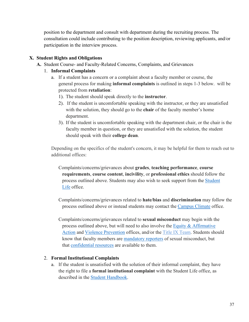position to the department and consult with department during the recruiting process. The consultation could include contributing to the position description, reviewing applicants, and/or participation in the interview process.

## **X. Student Rights and Obligations**

**A.** Student Course- and Faculty-Related Concerns, Complaints, and Grievances

## 1. **Informal Complaints**

- a. If a student has a concern or a complaint about a faculty member or course, the general process for making **informal complaints** is outlined in steps 1-3 below. will be protected from **retaliation**:
	- 1). The student should speak directly to the **instructor**.
	- 2). If the student is uncomfortable speaking with the instructor, or they are unsatisfied with the solution, they should go to the **chair** of the faculty member's home department.
	- 3). If the student is uncomfortable speaking with the department chair, or the chair is the faculty member in question, or they are unsatisfied with the solution, the student should speak with their **college dean**.

Depending on the specifics of the student's concern, it may be helpful for them to reach out to additional offices:

Complaints/concerns/grievances about **grades**, **teaching performance**, **course requirements**, **course content**, **incivility**, or **professional ethics** should follow the process outlined above. Students may also wish to seek support from the [Student](https://www.uwlax.edu/student-life/)  [Life](https://www.uwlax.edu/student-life/) office.

Complaints/concerns/grievances related to **hate/bias** and **discrimination** may follow the process outlined above or instead students may contact the [Campus Climate](https://www.uwlax.edu/campus-climate/) office.

Complaints/concerns/grievances related to **sexual misconduct** may begin with the process outlined above, but will need to also involve the [Equity & Affirmative](http://uwlax.edu/equity) [Action](http://uwlax.edu/equity) and [Violence Prevention](https://www.uwlax.edu/violence-prevention/) offices, and/or the Title IX [Team.](https://www.uwlax.edu/info/sexual-misconduct/) Students should know that faculty members are [mandatory](https://www.uwlax.edu/violence-prevention/report-an-incident/) reporters of sexual misconduct, but that [confidential resources](https://www.uwlax.edu/title-ix/resources/) are available to them.

#### 2. **Formal Institutional Complaints**

a. If the student is unsatisfied with the solution of their informal complaint, they have the right to file a **formal institutional complaint** with the Student Life office, as described in the [Student Handbook.](https://www.uwlax.edu/student-life/student-resources/student-handbook/#tm-institutional-complaint-process)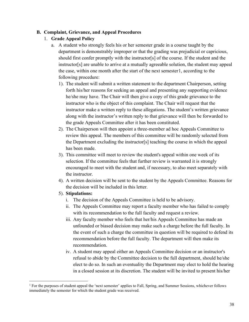#### **B. Complaint, Grievance, and Appeal Procedures**

## 1. **Grade Appeal Policy**

- a. A student who strongly feels his or her semester grade in a course taught by the department is demonstrably improper or that the grading was prejudicial or capricious, should first confer promptly with the instructor[s] of the course. If the student and the instructor[s] are unable to arrive at a mutually agreeable solution, the student may appeal the case, within one month after the start of the next semester[1](#page-39-0), according to the following procedure:
	- 1). The student will submit a written statement to the department Chairperson, setting forth his/her reasons for seeking an appeal and presenting any supporting evidence he/she may have. The Chair will then give a copy of this grade grievance to the instructor who is the object of this complaint. The Chair will request that the instructor make a written reply to these allegations. The student's written grievance along with the instructor's written reply to that grievance will then be forwarded to the grade Appeals Committee after it has been constituted.
	- 2). The Chairperson will then appoint a three-member ad hoc Appeals Committee to review this appeal. The members of this committee will be randomly selected from the Department excluding the instructor[s] teaching the course in which the appeal has been made.
	- 3). This committee will meet to review the student's appeal within one week of its selection. If the committee feels that further review is warranted it is strongly encouraged to meet with the student and, if necessary, to also meet separately with the instructor.
	- 4). A written decision will be sent to the student by the Appeals Committee. Reasons for the decision will be included in this letter.
	- 5). **Stipulations:**
		- i. The decision of the Appeals Committee is held to be advisory.
		- ii. The Appeals Committee may report a faculty member who has failed to comply with its recommendation to the full faculty and request a review.
		- iii. Any faculty member who feels that her/his Appeals Committee has made an unfounded or biased decision may make such a charge before the full faculty. In the event of such a charge the committee in question will be required to defend its recommendation before the full faculty. The department will then make its recommendation.
		- iv. A student may appeal either an Appeals Committee decision or an instructor's refusal to abide by the Committee decision to the full department, should he/she elect to do so. In such an eventuality the Department may elect to hold the hearing in a closed session at its discretion. The student will be invited to present his/her

<span id="page-39-0"></span><sup>&</sup>lt;sup>1</sup> For the purposes of student appeal the 'next semester' applies to Fall, Spring, and Summer Sessions, whichever follows immediately the semester for which the student grade was received.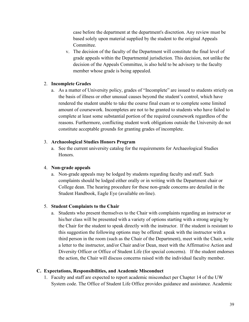case before the department at the department's discretion. Any review must be based solely upon material supplied by the student to the original Appeals Committee.

v. The decision of the faculty of the Department will constitute the final level of grade appeals within the Departmental jurisdiction. This decision, not unlike the decision of the Appeals Committee, is also held to be advisory to the faculty member whose grade is being appealed.

#### 2. **Incomplete Grades**

a. As a matter of University policy, grades of "Incomplete" are issued to students strictly on the basis of illness or other unusual causes beyond the student's control, which have rendered the student unable to take the course final exam or to complete some limited amount of coursework. Incompletes are not to be granted to students who have failed to complete at least some substantial portion of the required coursework regardless of the reasons. Furthermore, conflicting student work obligations outside the University do not constitute acceptable grounds for granting grades of incomplete.

#### 3. **Archaeological Studies Honors Program**

a. See the current university catalog for the requirements for Archaeological Studies Honors.

#### 4. **Non-grade appeals**

a. Non-grade appeals may be lodged by students regarding faculty and staff. Such complaints should be lodged either orally or in writing with the Department chair or College dean. The hearing procedure for these non-grade concerns are detailed in the Student Handbook, Eagle Eye (available on-line).

#### 5. **Student Complaints to the Chair**

a. Students who present themselves to the Chair with complaints regarding an instructor or his/her class will be presented with a variety of options starting with a strong urging by the Chair for the student to speak directly with the instructor. If the student is resistant to this suggestion the following options may be offered: speak with the instructor with a third person in the room (such as the Chair of the Department), meet with the Chair, write a letter to the instructor, and/or Chair and/or Dean, meet with the Affirmative Action and Diversity Officer or Office of Student Life (for special concerns). If the student endorses the action, the Chair will discuss concerns raised with the individual faculty member.

#### **C. Expectations, Responsibilities, and Academic Misconduct**

1. Faculty and staff are expected to report academic misconduct per Chapter 14 of the UW System code. The Office of Student Life Office provides guidance and assistance. Academic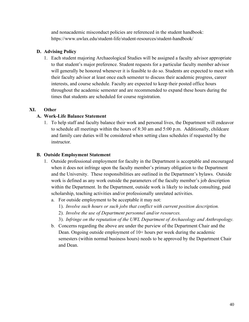and nonacademic misconduct policies are referenced in the student handbook: https://www.uwlax.edu/student-life/student-resources/student-handbook/

## **D. Advising Policy**

1. Each student majoring Archaeological Studies will be assigned a faculty advisor appropriate to that student's major preference. Student requests for a particular faculty member advisor will generally be honored whenever it is feasible to do so. Students are expected to meet with their faculty advisor at least once each semester to discuss their academic progress, career interests, and course schedule. Faculty are expected to keep their posted office hours throughout the academic semester and are recommended to expand these hours during the times that students are scheduled for course registration.

## **XI. Other**

## **A. Work-Life Balance Statement**

1. To help staff and faculty balance their work and personal lives, the Department will endeavor to schedule all meetings within the hours of 8:30 am and 5:00 p.m. Additionally, childcare and family care duties will be considered when setting class schedules if requested by the instructor.

## **B. Outside Employment Statement**

- 1. Outside professional employment for faculty in the Department is acceptable and encouraged when it does not infringe upon the faculty member's primary obligation to the Department and the University. These responsibilities are outlined in the Department's bylaws. Outside work is defined as any work outside the parameters of the faculty member's job description within the Department. In the Department, outside work is likely to include consulting, paid scholarship, teaching activities and/or professionally unrelated activities.
	- a. For outside employment to be acceptable it may not:
		- 1). *Involve such hours or such jobs that conflict with current position description.*
		- 2). *Involve the use of Department personnel and/or resources.*
		- 3). *Infringe on the reputation of the UWL Department of Archaeology and Anthropology.*
	- b. Concerns regarding the above are under the purview of the Department Chair and the Dean. Ongoing outside employment of 10+ hours per week during the academic semesters (within normal business hours) needs to be approved by the Department Chair and Dean.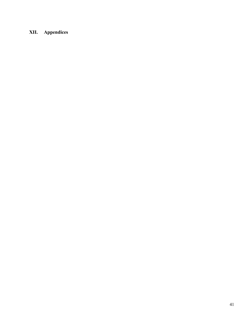# **XII. Appendices**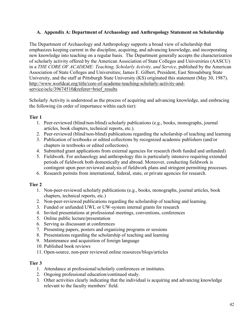## **A. Appendix A: Department of Archaeology and Anthropology Statement on Scholarship**

The Department of Archaeology and Anthropology supports a broad view of scholarship that emphasizes keeping current in the discipline, acquiring, and advancing knowledge, and incorporating new knowledge into teaching on a regular basis. The Department generally accepts the characterization of scholarly activity offered by the American Association of State Colleges and Universities (AASCU) in a *THE CORE OF ACADEME: Teaching, Scholarly Activity, and Service*, published by the American Association of State Colleges and Universities; James E. Gilbert, President, East Stroudsburg State University, and the staff at Pittsburgh State University (KS) originated this statement (May 30, 1987). [http://www.worldcat.org/title/core-of-academe-teaching-scholarly-activity-and](http://www.worldcat.org/title/core-of-academe-teaching-scholarly-activity-and-service/oclc/39674510&referer=brief_results)service/oclc/39674510&referer=brief\_results

Scholarly Activity is understood as the process of acquiring and advancing knowledge, and embracing the following (in order of importance within each tier):

## **Tier 1**

- 1. Peer-reviewed (blind/non-blind) scholarly publications (e.g., books, monographs, journal articles, book chapters, technical reports, etc.).
- 2. Peer-reviewed (blind/non-blind) publications regarding the scholarship of teaching and learning
- 3. Publication of textbooks or edited collections by recognized academic publishers (and/or chapters in textbooks or edited collections).
- 4. Submitted grant applications from external agencies for research (both funded and unfunded)
- 5. Fieldwork. For archaeology and anthropology this is particularly intensive requiring extended periods of fieldwork both domestically and abroad. Moreover, conducting fieldwork is contingent upon peer-reviewed analysis of fieldwork plans and stringent permitting processes.
- 6. Research permits from international, federal, state, or private agencies for research.

## **Tier 2**

- 1. Non-peer-reviewed scholarly publications (e.g., books, monographs, journal articles, book chapters, technical reports, etc.)
- 2. Non-peer-reviewed publications regarding the scholarship of teaching and learning.
- 3. Funded or unfunded UWL or UW-system internal grants for research
- 4. Invited presentations at professional meetings, conventions, conferences
- 5. Online public lecture/presentation
- 6. Serving as discussant at conferences
- 7. Presenting papers, posters and organizing programs or sessions
- 8. Presentations regarding the scholarship of teaching and learning
- 9. Maintenance and acquisition of foreign language
- 10. Published book reviews
- 11. Open-source, non-peer reviewed online resources/blogs/articles

#### **Tier 3**

- 1. Attendance at professional/scholarly conferences or institutes.
- 2. Ongoing professional education/continued study.
- 3. Other activities clearly indicating that the individual is acquiring and advancing knowledge relevant to the faculty members' field.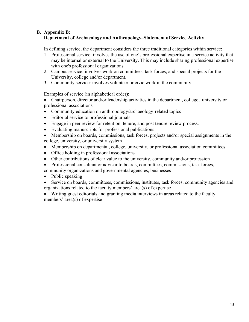## **B. Appendix B: Department of Archaeology and Anthropology–Statement of Service Activity**

In defining service, the department considers the three traditional categories within service:

- 1. Professional service: involves the use of one's professional expertise in a service activity that may be internal or external to the University. This may include sharing professional expertise with one's professional organizations.
- 2. Campus service: involves work on committees, task forces, and special projects for the University, college and/or department.
- 3. Community service: involves volunteer or civic work in the community.

Examples of service (in alphabetical order):

- Chairperson, director and/or leadership activities in the department, college, university or professional associations
- Community education on anthropology/archaeology-related topics
- Editorial service to professional journals
- Engage in peer review for retention, tenure, and post tenure review process.
- Evaluating manuscripts for professional publications
- Membership on boards, commissions, task forces, projects and/or special assignments in the college, university, or university system
- Membership on departmental, college, university, or professional association committees
- Office holding in professional associations
- Other contributions of clear value to the university, community and/or profession
- Professional consultant or advisor to boards, committees, commissions, task forces, community organizations and governmental agencies, businesses
- Public speaking
- Service on boards, committees, commissions, institutes, task forces, community agencies and organizations related to the faculty members' area(s) of expertise

• Writing guest editorials and granting media interviews in areas related to the faculty members' area(s) of expertise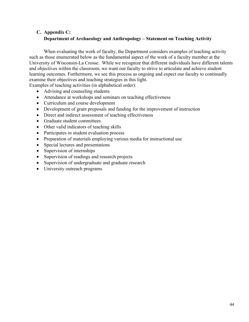# **C. Appendix C: Department of Archaeology and Anthropology – Statement on Teaching Activity**

When evaluating the work of faculty, the Department considers examples of teaching activity such as those enumerated below as the fundamental aspect of the work of a faculty member at the University of Wisconsin-La Crosse. While we recognize that different individuals have different talents and objectives within the classroom, we want our faculty to strive to articulate and achieve student learning outcomes. Furthermore, we see this process as ongoing and expect our faculty to continually examine their objectives and teaching strategies in this light.

Examples of teaching activities (in alphabetical order):

- Advising and counseling students
- Attendance at workshops and seminars on teaching effectiveness
- Curriculum and course development
- Development of grant proposals and funding for the improvement of instruction
- Direct and indirect assessment of teaching effectiveness
- Graduate student committees
- Other valid indicators of teaching skills
- Participates in student evaluation process
- Preparation of materials employing various media for instructional use
- Special lectures and presentations
- Supervision of internships
- Supervision of readings and research projects
- Supervision of undergraduate and graduate research
- University outreach programs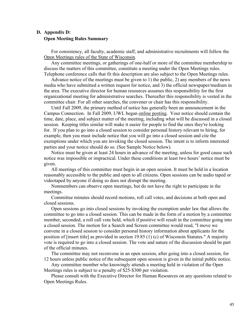## **D. Appendix D: Open Meeting Rules Summary**

For consistency, all faculty, academic staff, and administrative recruitments will follow the [Open Meetings rules of the State of Wisconsin.](https://www.uwlax.edu/info/meetings/)

 Any committee meetings, or gatherings of one-half or more of the committee membership to discuss the matters of this committee, constitute a meeting under the Open Meetings rules. Telephone conference calls that fit this description are also subject to the Open Meetings rules.

 Advance notice of the meetings must be given to 1) the public, 2) any members of the news media who have submitted a written request for notice, and 3) the official newspaper/medium in the area. The executive director for human resources assumes this responsibility for the first organizational meeting for administrative searches. Thereafter this responsibility is vested in the committee chair. For all other searches, the convener or chair has this responsibility.

 Until Fall 2009, the primary method of notice has generally been an announcement in the Campus Connection. In Fall 2009, UWL began [online posting.](http://www.uwlax.edu/hr/post.htm) Your notice should contain the time, date, place, and subject matter of the meeting, including what will be discussed in a closed session. Keeping titles similar will make it easier for people to find the ones they're looking for. If you plan to go into a closed session to consider personal history relevant to hiring, for example, then you must include notice that you will go into a closed session and cite the exemptions under which you are invoking the closed session. The intent is to inform interested parties and your notice should do so. (See Sample Notice below).

 Notice must be given at least 24 hours in advance of the meeting, unless for good cause such notice was impossible or impractical. Under these conditions at least two hours' notice must be given.

 All meetings of this committee must begin in an open session. It must be held in a location reasonably accessible to the public and open to all citizens. Open sessions can be audio taped or videotaped by anyone if doing so does not disrupt the meeting.

 Nonmembers can observe open meetings, but do not have the right to participate in the meetings.

 Committee minutes should record motions, roll call votes, and decisions at both open and closed sessions.

 Open sessions go into closed sessions by invoking the exemption under law that allows the committee to go into a closed session. This can be made in the form of a motion by a committee member, seconded, a roll call vote held, which if positive will result in the committee going into a closed session. The motion for a Search and Screen committee would read, "I move we convene in a closed session to consider personal history information about applicants for the position of [insert title] as provided in section 19.85 (1) (c) of Wisconsin Statutes." A majority vote is required to go into a closed session. The vote and nature of the discussion should be part of the official minutes.

 The committee may not reconvene in an open session, after going into a closed session, for 12 hours unless public notice of the subsequent open session is given in the initial public notice.

 Any committee member who knowingly attends a meeting held in violation of the Open Meetings rules is subject to a penalty of \$25-\$300 per violation.

Please consult with the Executive Director for Human Resources on any questions related to Open Meetings Rules.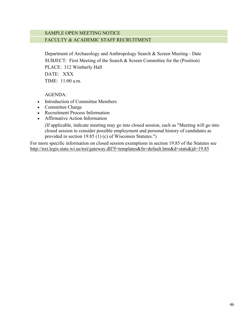## SAMPLE OPEN MEETING NOTICE FACULTY & ACADEMIC STAFF RECRUITMENT

Department of Archaeology and Anthropology Search & Screen Meeting - Date SUBJECT: First Meeting of the Search & Screen Committee for the (Position) PLACE: 312 Wimberly Hall DATE: XXX TIME: 11:00 a.m.

AGENDA:

- Introduction of Committee Members
- Committee Charge
- Recruitment Process Information
- Affirmative Action Information

(If applicable, indicate meeting may go into closed session, such as "Meeting will go into closed session to consider possible employment and personal history of candidates as provided in section 19.85 (1) (c) of Wisconsin Statutes.")

For more specific information on closed session exemptions in section 19.85 of the Statutes see <http://nxt.legis.state.wi.us/nxt/gateway.dll?f=templates&fn=default.htm&d=stats&jd=19.85>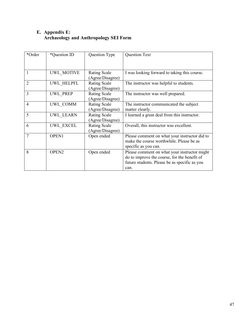## **E. Appendix E: Archaeology and Anthropology SEI Form**

| *Order         | *Question ID      | Question Type                           | Question Text                                                                                                                                         |
|----------------|-------------------|-----------------------------------------|-------------------------------------------------------------------------------------------------------------------------------------------------------|
|                |                   |                                         |                                                                                                                                                       |
|                | UWL MOTIVE        | <b>Rating Scale</b><br>(Agree/Disagree) | I was looking forward to taking this course.                                                                                                          |
| $\overline{2}$ | UWL HELPFL        | <b>Rating Scale</b><br>(Agree/Disagree) | The instructor was helpful to students.                                                                                                               |
| 3              | UWL PREP          | <b>Rating Scale</b><br>(Agree/Disagree) | The instructor was well prepared.                                                                                                                     |
| $\overline{4}$ | UWL COMM          | <b>Rating Scale</b><br>(Agree/Disagree) | The instructor communicated the subject<br>matter clearly.                                                                                            |
| 5              | UWL LEARN         | <b>Rating Scale</b><br>(Agree/Disagree) | I learned a great deal from this instructor.                                                                                                          |
| 6              | UWL EXCEL         | <b>Rating Scale</b><br>(Agree/Disagree) | Overall, this instructor was excellent.                                                                                                               |
| 7              | <b>OPEN1</b>      | Open ended                              | Please comment on what your instructor did to<br>make the course worthwhile. Please be as<br>specific as you can.                                     |
| 8              | OPEN <sub>2</sub> | Open ended                              | Please comment on what your instructor might<br>do to improve the course, for the benefit of<br>future students. Please be as specific as you<br>can. |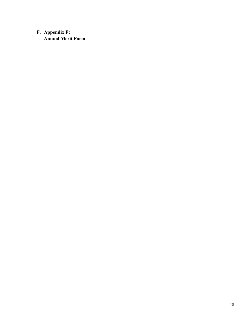# **F. Appendix F: Annual Merit Form**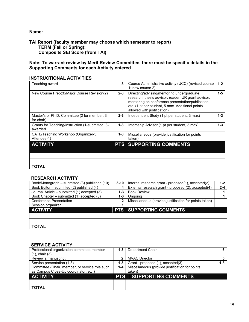**Name: \_\_\_\_\_\_\_\_\_\_\_\_\_\_\_** 

**TAI Report (faculty member may choose which semester to report) TERM (Fall or Spring): Composite SEI Score (from TAI):**

**Note: To warrant review by Merit Review Committee, there must be specific details in the Supporting Comments for each Activity entered.**

| Teaching award                                              | 3       | Course Administrative activity (UCC) (revised course<br>1; new course $2)$                                                                                                                                                                | $1 - 2$ |
|-------------------------------------------------------------|---------|-------------------------------------------------------------------------------------------------------------------------------------------------------------------------------------------------------------------------------------------|---------|
| New Course Prep(3)/Major Course Revision(2)                 | $2 - 3$ | Directing/advising/mentoring undergraduate<br>research: thesis advisor, reader, UR grant advisor,<br>mentoring on conference presentation/publication,<br>etc. (1 pt per student, 5 max. Additional points<br>allowed with justification) | $1 - 5$ |
| Master's or Ph.D. Committee (2 for member, 3<br>for chair)  | $2 - 3$ | Independent Study (1 pt per student, 3 max)                                                                                                                                                                                               | $1 - 3$ |
| Grants for Teaching/Instruction (1-submitted; 3-<br>awarded | $1 - 3$ | Internship Advisor (1 pt per student, 3 max)                                                                                                                                                                                              | $1 - 3$ |
| CATL/Teaching Workshop (Organizer-3,<br>Attendee-1)         | $1 - 3$ | Miscellaneous (provide justification for points<br>taken)                                                                                                                                                                                 |         |
| <b>ACTIVITY</b>                                             |         | <b>PTS SUPPORTING COMMENTS</b>                                                                                                                                                                                                            |         |
|                                                             |         |                                                                                                                                                                                                                                           |         |
|                                                             |         |                                                                                                                                                                                                                                           |         |
| TOTAL                                                       |         |                                                                                                                                                                                                                                           |         |

#### **INSTRUCTIONAL ACTIVITIES**

#### **RESEARCH ACTIVITY**

| Book/Monograph – submitted (3) published (10) | $3 - 10$ | Internal research grant - proposed(1), accepted(2)     | $1 - 2$ |
|-----------------------------------------------|----------|--------------------------------------------------------|---------|
| Book Editor - submitted (2) published (4)     | 4        | External research grant - proposed (2), accepted(4)    | $2 - 4$ |
| Journal Article – submitted (1) accepted (3)  | 1-3      | <b>Book Review</b>                                     |         |
| Book Chapter – submitted (1) accepted (3)     | 1-3      | Ongoing                                                |         |
| <b>Conference Presentation</b>                | 2        | Miscellaneous (provide justification for points taken) |         |
| Session organizer                             |          |                                                        |         |
| <b>ACTIVITY</b>                               |          | <b>PTS SUPPORTING COMMENTS</b>                         |         |
|                                               |          |                                                        |         |
|                                               |          |                                                        |         |
| <b>TOTAL</b>                                  |          |                                                        |         |

#### **SERVICE ACTIVITY**

| Professional organization committee member<br>$(1)$ , chair $(3)$ |     | <b>1-3</b>   Department Chair                   |         |
|-------------------------------------------------------------------|-----|-------------------------------------------------|---------|
| Review a manuscript                                               |     | <b>MVAC Director</b>                            |         |
| Service presentation (1-3)                                        | 1-3 | Grant - proposed (1), accepted(3)               | $1 - 3$ |
| Committee (Chair, member, or service role such                    | 1-4 | Miscellaneous (provide justification for points |         |
| as Campus Close-Up coordinator, etc.)                             |     | taken)                                          |         |
| <b>ACTIVITY</b>                                                   |     | <b>PTS SUPPORTING COMMENTS</b>                  |         |
|                                                                   |     |                                                 |         |
| <b>TOTAL</b>                                                      |     |                                                 |         |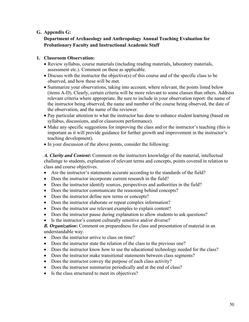## **G. Appendix G:**

## **Department of Archaeology and Anthropology Annual Teaching Evaluation for Probationary Faculty and Instructional Academic Staff**

#### **1. Classroom Observation:**

- Review syllabus, course materials (including reading materials, laboratory materials, assessment etc.). Comment on these as applicable.
- Discuss with the instructor the objective(s) of this course and of the specific class to be observed, and how these will be met.
- Summarize your observations, taking into account, where relevant, the points listed below (items A-D). Clearly, certain criteria will be more relevant to some classes than others. Address relevant criteria where appropriate. Be sure to include in your observation report: the name of the instructor being observed, the name and number of the course being observed, the date of the observation, and the name of the reviewer.
- Pay particular attention to what the instructor has done to enhance student learning (based on syllabus, discussions, and/or classroom performance).
- Make any specific suggestions for improving the class and/or the instructor's teaching (this is important as it will provide guidance for further growth and improvement in the instructor's teaching development).
- In your discussion of the above points, consider the following:

*A. Clarity and Content***:** Comment on the instructors knowledge of the material, intellectual challenge to students, explanation of relevant terms and concepts, points covered in relation to class and course objectives.

- Are the instructor's statements accurate according to the standards of the field?
- Does the instructor incorporate current research in the field?
- Does the instructor identify sources, perspectives and authorities in the field?
- Does the instructor communicate the reasoning behind concepts?
- Does the instructor define new terms or concepts?
- Does the instructor elaborate or repeat complex information?
- Does the instructor use relevant examples to explain content?
- Does the instructor pause during explanation to allow students to ask questions?
- Is the instructor's content culturally sensitive and/or diverse?

*B. Organization***:** Comment on preparedness for class and presentation of material in an understandable way.

- Does the instructor arrive to class on time?
- Does the instructor state the relation of the class to the previous one?
- Does the instructor know how to use the educational technology needed for the class?
- Does the instructor make transitional statements between class segments?
- Does the instructor convey the purpose of each class activity?
- Does the instructor summarize periodically and at the end of class?
- Is the class structured to meet its objectives?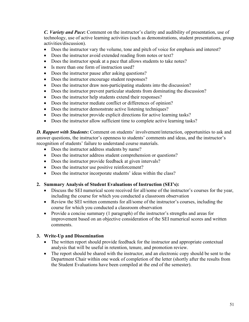*C. Variety and Pace***:** Comment on the instructor's clarity and audibility of presentation, use of technology, use of active learning activities (such as demonstrations, student presentations, group activities/discussion).

- Does the instructor vary the volume, tone and pitch of voice for emphasis and interest?
- Does the instructor avoid extended reading from notes or text?
- Does the instructor speak at a pace that allows students to take notes?
- Is more than one form of instruction used?
- Does the instructor pause after asking questions?
- Does the instructor encourage student responses?
- Does the instructor draw non-participating students into the discussion?
- Does the instructor prevent particular students from dominating the discussion?
- Does the instructor help students extend their responses?
- Does the instructor mediate conflict or differences of opinion?
- Does the instructor demonstrate active listening techniques?
- Does the instructor provide explicit directions for active learning tasks?
- Does the instructor allow sufficient time to complete active learning tasks?

*D. Rapport with Students***:** Comment on students' involvement/interaction, opportunities to ask and answer questions, the instructor's openness to students' comments and ideas, and the instructor's recognition of students' failure to understand course materials.

- Does the instructor address students by name?
- Does the instructor address student comprehension or questions?
- Does the instructor provide feedback at given intervals?
- Does the instructor use positive reinforcement?
- Does the instructor incorporate students' ideas within the class?

#### **2. Summary Analysis of Student Evaluations of Instruction (SEI's):**

- Discuss the SEI numerical score received for all/some of the instructor's courses for the year, including the course for which you conducted a classroom observation
- Review the SEI written comments for all/some of the instructor's courses, including the course for which you conducted a classroom observation
- Provide a concise summary (1 paragraph) of the instructor's strengths and areas for improvement based on an objective consideration of the SEI numerical scores and written comments.

#### **3. Write-Up and Dissemination**

- The written report should provide feedback for the instructor and appropriate contextual analysis that will be useful in retention, tenure, and promotion review.
- The report should be shared with the instructor, and an electronic copy should be sent to the Department Chair within one week of completion of the letter (shortly after the results from the Student Evaluations have been compiled at the end of the semester).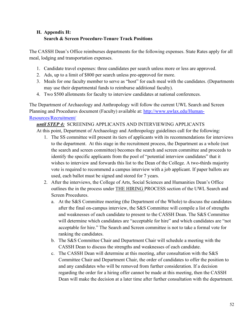# **H. Appendix H: Search & Screen Procedure-Tenure Track Positions**

The CASSH Dean's Office reimburses departments for the following expenses. State Rates apply for all meal, lodging and transportation expenses.

- 1. Candidate travel expenses: three candidates per search unless more or less are approved.
- 2. Ads, up to a limit of \$800 per search unless pre-approved for more.
- 3. Meals for one faculty member to serve as "host" for each meal with the candidates. (Departments may use their departmental funds to reimburse additional faculty).
- 4. Two \$500 allotments for faculty to interview candidates at national conferences.

The Department of Archaeology and Anthropology will follow the current UWL Search and Screen Planning and Procedures document (Faculty) available at: [http://www.uwlax.edu/Human-](http://www.uwlax.edu/Human-Resources/Recruitment/)[Resources/Recruitment/](http://www.uwlax.edu/Human-Resources/Recruitment/) 

# *until STEP 4:* SCREENING APPLICANTS AND INTERVIEWING APPLICANTS

At this point, Department of Archaeology and Anthropology guidelines call for the following:

- 1. The SS committee will present its tiers of applicants with its recommendations for interviews to the department. At this stage in the recruitment process, the Department as a whole (not the search and screen committee) becomes the search and screen committee and proceeds to identify the specific applicants from the pool of "potential interview candidates" that it wishes to interview and forwards this list to the Dean of the College. A two-thirds majority vote is required to recommend a campus interview with a job applicant. If paper ballots are used, each ballot must be signed and stored for 7 years.
- 2. After the interviews, the College of Arts, Social Sciences and Humanities Dean's Office outlines the in the process under THE HIRING PROCESS section of the UWL Search and Screen Procedures.
	- a. At the S&S Committee meeting (the Department of the Whole) to discuss the candidates after the final on-campus interview, the S&S Committee will compile a list of strengths and weaknesses of each candidate to present to the CASSH Dean. The S&S Committee will determine which candidates are "acceptable for hire" and which candidates are "not acceptable for hire." The Search and Screen committee is not to take a formal vote for ranking the candidates.
	- b. The S&S Committee Chair and Department Chair will schedule a meeting with the CASSH Dean to discuss the strengths and weaknesses of each candidate.
	- c. The CASSH Dean will determine at this meeting, after consultation with the S&S Committee Chair and Department Chair, the order of candidates to offer the position to and any candidates who will be removed from further consideration. If a decision regarding the order for a hiring offer cannot be made at this meeting, then the CASSH Dean will make the decision at a later time after further consultation with the department.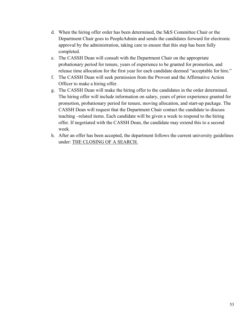- d. When the hiring offer order has been determined, the S&S Committee Chair or the Department Chair goes to PeopleAdmin and sends the candidates forward for electronic approval by the administration, taking care to ensure that this step has been fully completed.
- e. The CASSH Dean will consult with the Department Chair on the appropriate probationary period for tenure, years of experience to be granted for promotion, and release time allocation for the first year for each candidate deemed "acceptable for hire."
- f. The CASSH Dean will seek permission from the Provost and the Affirmative Action Officer to make a hiring offer.
- g. The CASSH Dean will make the hiring offer to the candidates in the order determined. The hiring offer will include information on salary, years of prior experience granted for promotion, probationary period for tenure, moving allocation, and start-up package. The CASSH Dean will request that the Department Chair contact the candidate to discuss teaching –related items. Each candidate will be given a week to respond to the hiring offer. If negotiated with the CASSH Dean, the candidate may extend this to a second week.
- h. After an offer has been accepted, the department follows the current university guidelines under: THE CLOSING OF A SEARCH.